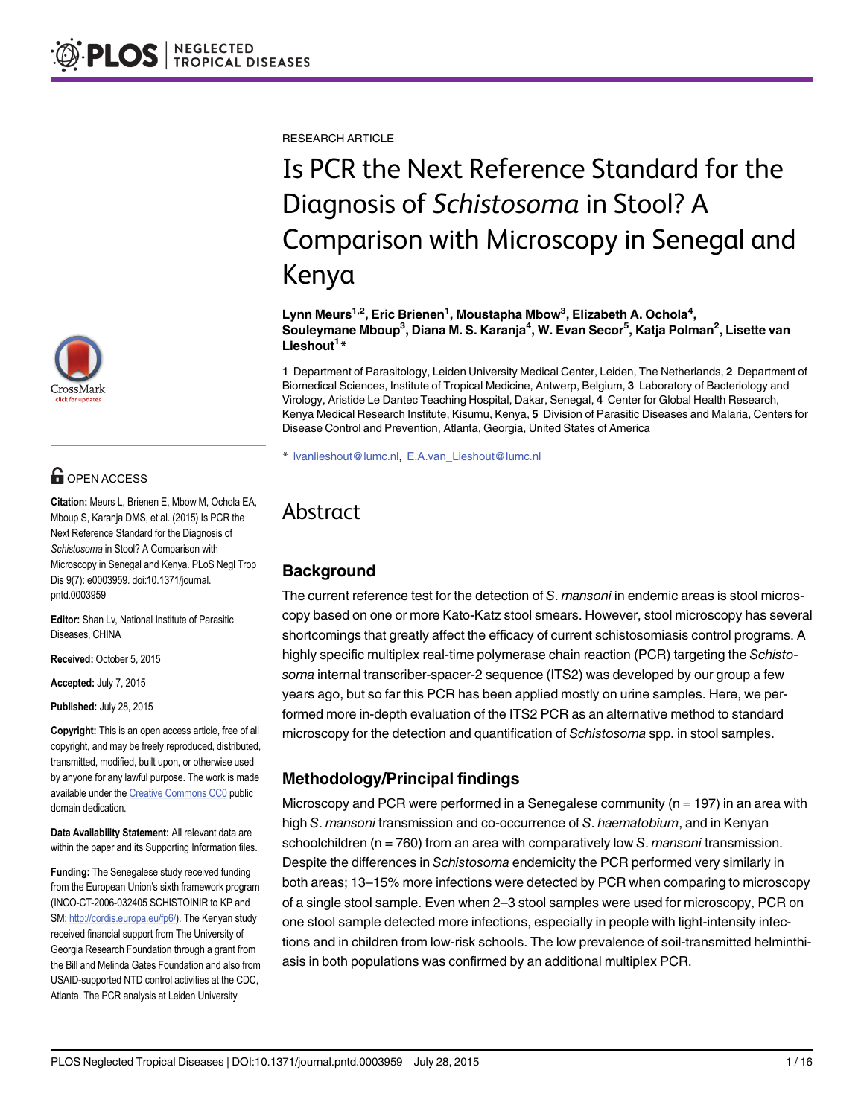

# **G** OPEN ACCESS

Citation: Meurs L, Brienen E, Mbow M, Ochola EA, Mboup S, Karanja DMS, et al. (2015) Is PCR the Next Reference Standard for the Diagnosis of Schistosoma in Stool? A Comparison with Microscopy in Senegal and Kenya. PLoS Negl Trop Dis 9(7): e0003959. doi:10.1371/journal. pntd.0003959

Editor: Shan Lv, National Institute of Parasitic Diseases, CHINA

Received: October 5, 2015

Accepted: July 7, 2015

Published: July 28, 2015

Copyright: This is an open access article, free of all copyright, and may be freely reproduced, distributed, transmitted, modified, built upon, or otherwise used by anyone for any lawful purpose. The work is made available under the [Creative Commons CC0](https://creativecommons.org/publicdomain/zero/1.0/) public domain dedication.

Data Availability Statement: All relevant data are within the paper and its Supporting Information files.

Funding: The Senegalese study received funding from the European Union's sixth framework program (INCO-CT-2006-032405 SCHISTOINIR to KP and SM; [http://cordis.europa.eu/fp6/\)](http://cordis.europa.eu/fp6/). The Kenyan study received financial support from The University of Georgia Research Foundation through a grant from the Bill and Melinda Gates Foundation and also from USAID-supported NTD control activities at the CDC, Atlanta. The PCR analysis at Leiden University

RESEARCH ARTICLE

# Is PCR the Next Reference Standard for the Diagnosis of Schistosoma in Stool? A Comparison with Microscopy in Senegal and Kenya

Lynn Meurs $^{1,2}$ , Eric Brienen $^{1}$ , Moustapha Mbow $^{3}$ , Elizabeth A. Ochola $^{4},$ Souleymane Mboup<sup>3</sup>, Diana M. S. Karanja<sup>4</sup>, W. Evan Secor<sup>5</sup>, Katja Polman<sup>2</sup>, Lisette van Lieshout<sup>1</sup> $*$ 

1 Department of Parasitology, Leiden University Medical Center, Leiden, The Netherlands, 2 Department of Biomedical Sciences, Institute of Tropical Medicine, Antwerp, Belgium, 3 Laboratory of Bacteriology and Virology, Aristide Le Dantec Teaching Hospital, Dakar, Senegal, 4 Center for Global Health Research, Kenya Medical Research Institute, Kisumu, Kenya, 5 Division of Parasitic Diseases and Malaria, Centers for Disease Control and Prevention, Atlanta, Georgia, United States of America

\* lvanlieshout@lumc.nl, E.A.van\_Lieshout@lumc.nl

# Abstract

# **Background**

The current reference test for the detection of S. mansoni in endemic areas is stool microscopy based on one or more Kato-Katz stool smears. However, stool microscopy has several shortcomings that greatly affect the efficacy of current schistosomiasis control programs. A highly specific multiplex real-time polymerase chain reaction (PCR) targeting the Schistosoma internal transcriber-spacer-2 sequence (ITS2) was developed by our group a few years ago, but so far this PCR has been applied mostly on urine samples. Here, we performed more in-depth evaluation of the ITS2 PCR as an alternative method to standard microscopy for the detection and quantification of Schistosoma spp. in stool samples.

# Methodology/Principal findings

Microscopy and PCR were performed in a Senegalese community ( $n = 197$ ) in an area with high S. mansoni transmission and co-occurrence of S. haematobium, and in Kenyan schoolchildren ( $n = 760$ ) from an area with comparatively low S. mansoni transmission. Despite the differences in Schistosoma endemicity the PCR performed very similarly in both areas; 13–15% more infections were detected by PCR when comparing to microscopy of a single stool sample. Even when 2–3 stool samples were used for microscopy, PCR on one stool sample detected more infections, especially in people with light-intensity infections and in children from low-risk schools. The low prevalence of soil-transmitted helminthiasis in both populations was confirmed by an additional multiplex PCR.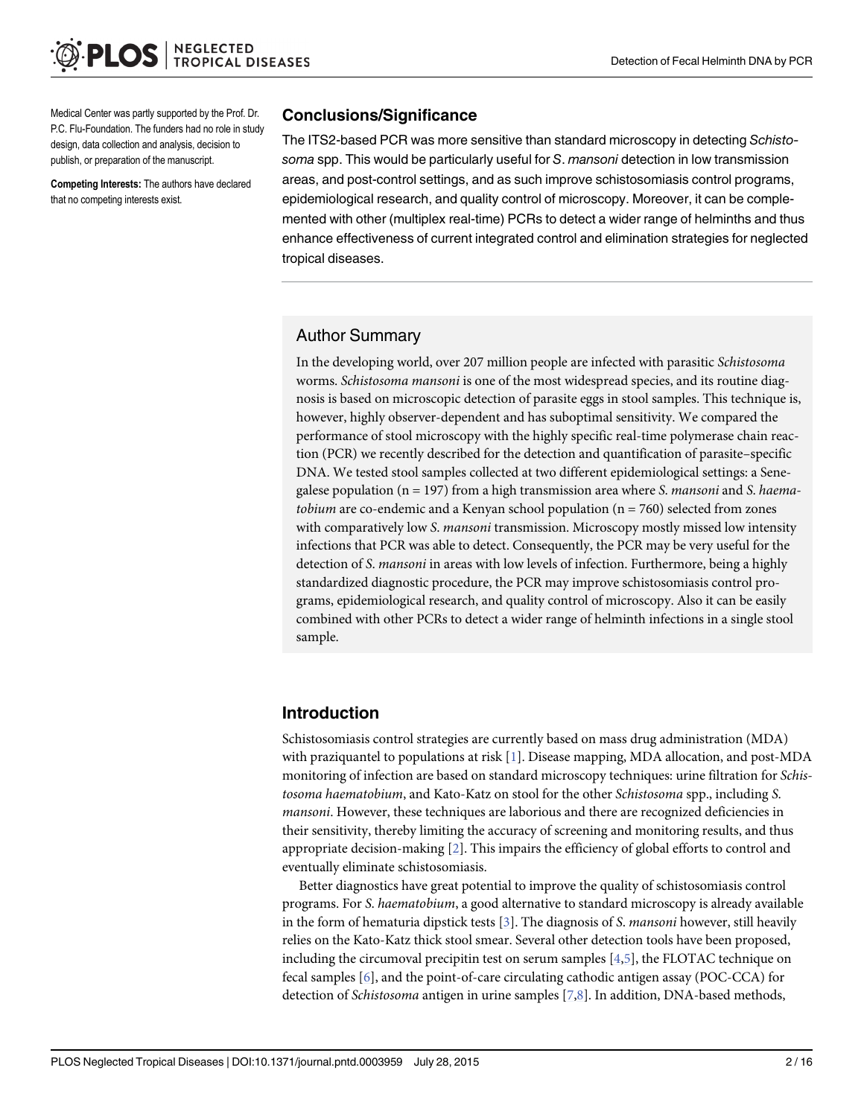<span id="page-1-0"></span>Medical Center was partly supported by the Prof. Dr. P.C. Flu-Foundation. The funders had no role in study design, data collection and analysis, decision to publish, or preparation of the manuscript.

Competing Interests: The authors have declared that no competing interests exist.

# Conclusions/Significance

The ITS2-based PCR was more sensitive than standard microscopy in detecting Schistosoma spp. This would be particularly useful for S. mansoni detection in low transmission areas, and post-control settings, and as such improve schistosomiasis control programs, epidemiological research, and quality control of microscopy. Moreover, it can be complemented with other (multiplex real-time) PCRs to detect a wider range of helminths and thus enhance effectiveness of current integrated control and elimination strategies for neglected tropical diseases.

# Author Summary

In the developing world, over 207 million people are infected with parasitic Schistosoma worms. Schistosoma mansoni is one of the most widespread species, and its routine diagnosis is based on microscopic detection of parasite eggs in stool samples. This technique is, however, highly observer-dependent and has suboptimal sensitivity. We compared the performance of stool microscopy with the highly specific real-time polymerase chain reaction (PCR) we recently described for the detection and quantification of parasite–specific DNA. We tested stool samples collected at two different epidemiological settings: a Senegalese population ( $n = 197$ ) from a high transmission area where S. *mansoni* and S. *haema*tobium are co-endemic and a Kenyan school population ( $n = 760$ ) selected from zones with comparatively low S. mansoni transmission. Microscopy mostly missed low intensity infections that PCR was able to detect. Consequently, the PCR may be very useful for the detection of S. mansoni in areas with low levels of infection. Furthermore, being a highly standardized diagnostic procedure, the PCR may improve schistosomiasis control programs, epidemiological research, and quality control of microscopy. Also it can be easily combined with other PCRs to detect a wider range of helminth infections in a single stool sample.

# Introduction

Schistosomiasis control strategies are currently based on mass drug administration (MDA) with praziquantel to populations at risk [[1](#page-12-0)]. Disease mapping, MDA allocation, and post-MDA monitoring of infection are based on standard microscopy techniques: urine filtration for Schistosoma haematobium, and Kato-Katz on stool for the other Schistosoma spp., including S. mansoni. However, these techniques are laborious and there are recognized deficiencies in their sensitivity, thereby limiting the accuracy of screening and monitoring results, and thus appropriate decision-making [[2\]](#page-12-0). This impairs the efficiency of global efforts to control and eventually eliminate schistosomiasis.

Better diagnostics have great potential to improve the quality of schistosomiasis control programs. For S. haematobium, a good alternative to standard microscopy is already available in the form of hematuria dipstick tests  $[3]$  $[3]$ . The diagnosis of S. *mansoni* however, still heavily relies on the Kato-Katz thick stool smear. Several other detection tools have been proposed, including the circumoval precipitin test on serum samples  $[4,5]$ , the FLOTAC technique on fecal samples [[6](#page-12-0)], and the point-of-care circulating cathodic antigen assay (POC-CCA) for detection of *Schistosoma* antigen in urine samples  $[7,8]$  $[7,8]$ . In addition, DNA-based methods,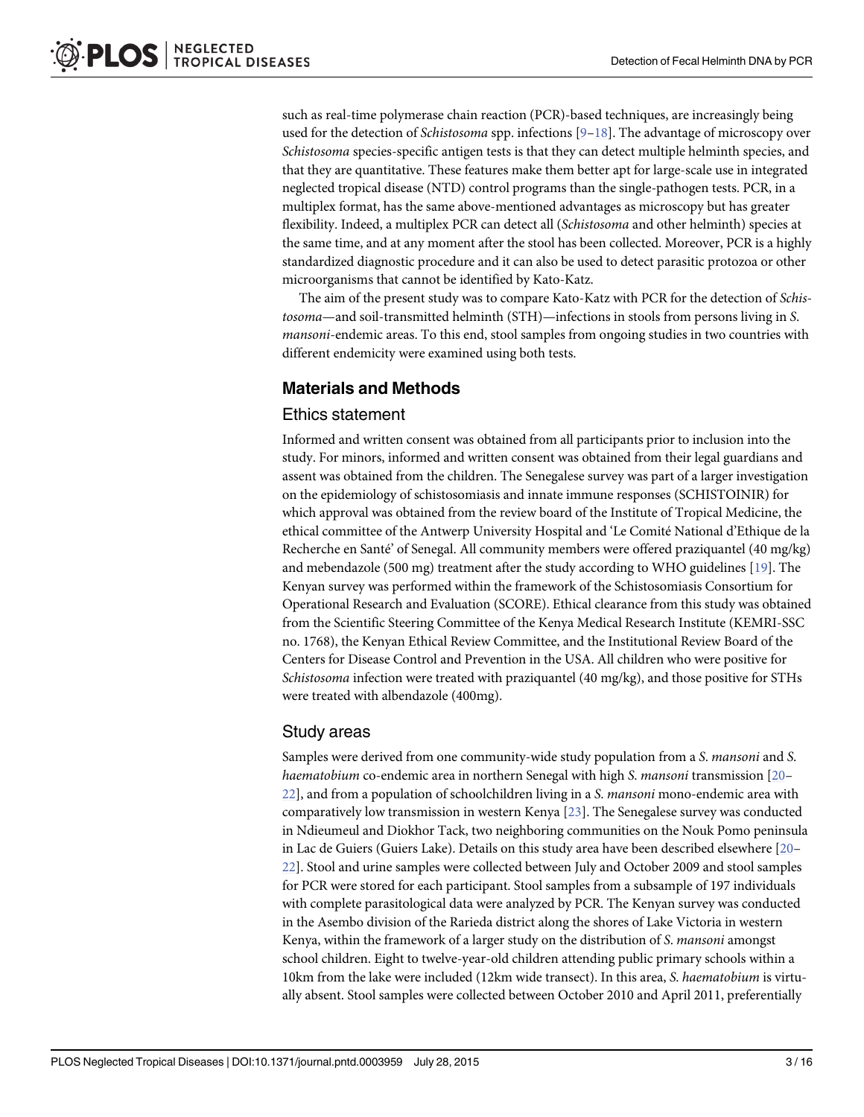<span id="page-2-0"></span>such as real-time polymerase chain reaction (PCR)-based techniques, are increasingly being used for the detection of *Schistosoma* spp. infections  $[9-18]$  $[9-18]$  $[9-18]$ . The advantage of microscopy over Schistosoma species-specific antigen tests is that they can detect multiple helminth species, and that they are quantitative. These features make them better apt for large-scale use in integrated neglected tropical disease (NTD) control programs than the single-pathogen tests. PCR, in a multiplex format, has the same above-mentioned advantages as microscopy but has greater flexibility. Indeed, a multiplex PCR can detect all (Schistosoma and other helminth) species at the same time, and at any moment after the stool has been collected. Moreover, PCR is a highly standardized diagnostic procedure and it can also be used to detect parasitic protozoa or other microorganisms that cannot be identified by Kato-Katz.

The aim of the present study was to compare Kato-Katz with PCR for the detection of Schistosoma—and soil-transmitted helminth (STH)—infections in stools from persons living in S. mansoni-endemic areas. To this end, stool samples from ongoing studies in two countries with different endemicity were examined using both tests.

# Materials and Methods

# Ethics statement

Informed and written consent was obtained from all participants prior to inclusion into the study. For minors, informed and written consent was obtained from their legal guardians and assent was obtained from the children. The Senegalese survey was part of a larger investigation on the epidemiology of schistosomiasis and innate immune responses (SCHISTOINIR) for which approval was obtained from the review board of the Institute of Tropical Medicine, the ethical committee of the Antwerp University Hospital and 'Le Comité National d'Ethique de la Recherche en Santé' of Senegal. All community members were offered praziquantel (40 mg/kg) and mebendazole (500 mg) treatment after the study according to WHO guidelines [[19](#page-13-0)]. The Kenyan survey was performed within the framework of the Schistosomiasis Consortium for Operational Research and Evaluation (SCORE). Ethical clearance from this study was obtained from the Scientific Steering Committee of the Kenya Medical Research Institute (KEMRI-SSC no. 1768), the Kenyan Ethical Review Committee, and the Institutional Review Board of the Centers for Disease Control and Prevention in the USA. All children who were positive for Schistosoma infection were treated with praziquantel (40 mg/kg), and those positive for STHs were treated with albendazole (400mg).

# Study areas

Samples were derived from one community-wide study population from a S. mansoni and S. haematobium co-endemic area in northern Senegal with high S. mansoni transmission [\[20](#page-13-0)– [22\]](#page-13-0), and from a population of schoolchildren living in a S. mansoni mono-endemic area with comparatively low transmission in western Kenya [[23](#page-13-0)]. The Senegalese survey was conducted in Ndieumeul and Diokhor Tack, two neighboring communities on the Nouk Pomo peninsula in Lac de Guiers (Guiers Lake). Details on this study area have been described elsewhere [[20](#page-13-0)– [22\]](#page-13-0). Stool and urine samples were collected between July and October 2009 and stool samples for PCR were stored for each participant. Stool samples from a subsample of 197 individuals with complete parasitological data were analyzed by PCR. The Kenyan survey was conducted in the Asembo division of the Rarieda district along the shores of Lake Victoria in western Kenya, within the framework of a larger study on the distribution of S. mansoni amongst school children. Eight to twelve-year-old children attending public primary schools within a 10km from the lake were included (12km wide transect). In this area, S. haematobium is virtually absent. Stool samples were collected between October 2010 and April 2011, preferentially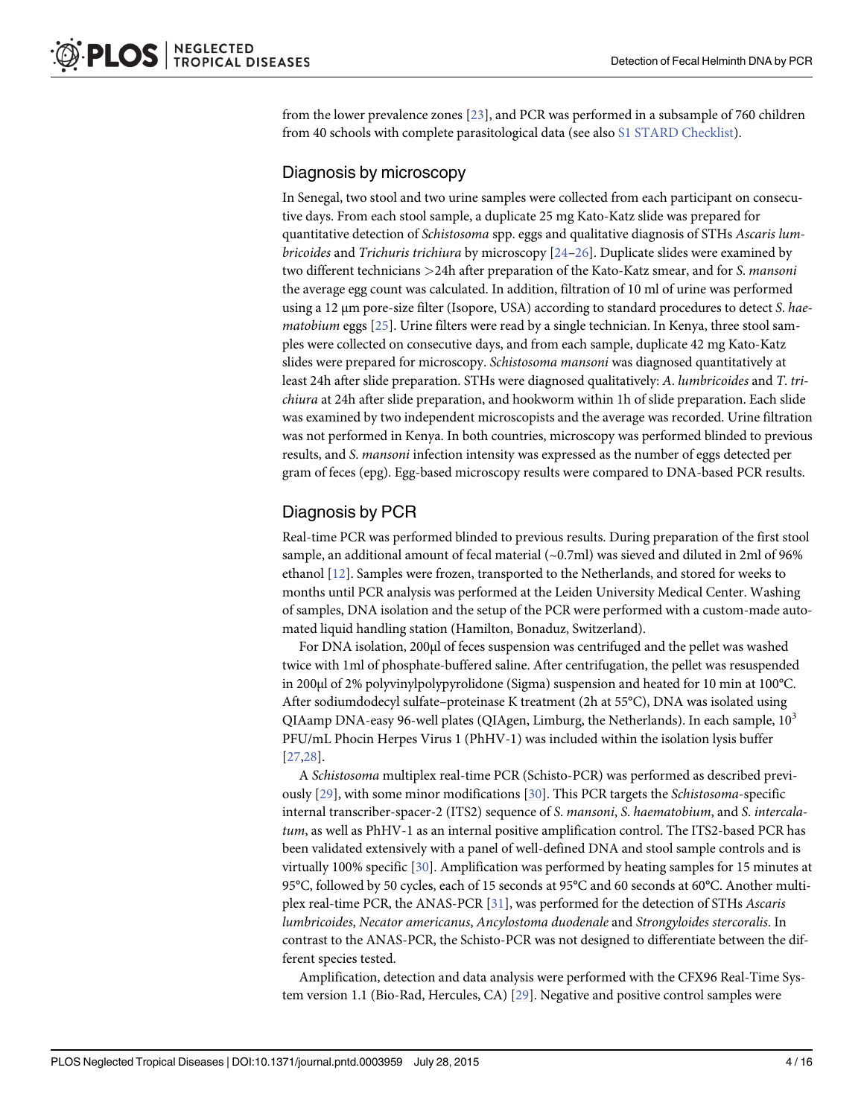<span id="page-3-0"></span>from the lower prevalence zones [[23](#page-13-0)], and PCR was performed in a subsample of 760 children from 40 schools with complete parasitological data (see also [S1 STARD Checklist](#page-11-0)).

# Diagnosis by microscopy

In Senegal, two stool and two urine samples were collected from each participant on consecutive days. From each stool sample, a duplicate 25 mg Kato-Katz slide was prepared for quantitative detection of *Schistosoma* spp. eggs and qualitative diagnosis of STHs *Ascaris lum*bricoides and Trichuris trichiura by microscopy  $[24–26]$  $[24–26]$  $[24–26]$  $[24–26]$ . Duplicate slides were examined by two different technicians >24h after preparation of the Kato-Katz smear, and for S. mansoni the average egg count was calculated. In addition, filtration of 10 ml of urine was performed using a 12 μm pore-size filter (Isopore, USA) according to standard procedures to detect S. hae*matobium eggs*  $[25]$  $[25]$ . Urine filters were read by a single technician. In Kenya, three stool samples were collected on consecutive days, and from each sample, duplicate 42 mg Kato-Katz slides were prepared for microscopy. Schistosoma mansoni was diagnosed quantitatively at least 24h after slide preparation. STHs were diagnosed qualitatively: A. lumbricoides and T. trichiura at 24h after slide preparation, and hookworm within 1h of slide preparation. Each slide was examined by two independent microscopists and the average was recorded. Urine filtration was not performed in Kenya. In both countries, microscopy was performed blinded to previous results, and S. mansoni infection intensity was expressed as the number of eggs detected per gram of feces (epg). Egg-based microscopy results were compared to DNA-based PCR results.

# Diagnosis by PCR

Real-time PCR was performed blinded to previous results. During preparation of the first stool sample, an additional amount of fecal material (~0.7ml) was sieved and diluted in 2ml of 96% ethanol [\[12](#page-13-0)]. Samples were frozen, transported to the Netherlands, and stored for weeks to months until PCR analysis was performed at the Leiden University Medical Center. Washing of samples, DNA isolation and the setup of the PCR were performed with a custom-made automated liquid handling station (Hamilton, Bonaduz, Switzerland).

For DNA isolation, 200μl of feces suspension was centrifuged and the pellet was washed twice with 1ml of phosphate-buffered saline. After centrifugation, the pellet was resuspended in 200μl of 2% polyvinylpolypyrolidone (Sigma) suspension and heated for 10 min at 100°C. After sodiumdodecyl sulfate–proteinase K treatment (2h at 55°C), DNA was isolated using QIAamp DNA-easy 96-well plates (QIAgen, Limburg, the Netherlands). In each sample,  $10^3$ PFU/mL Phocin Herpes Virus 1 (PhHV-1) was included within the isolation lysis buffer [\[27,28\]](#page-13-0).

A Schistosoma multiplex real-time PCR (Schisto-PCR) was performed as described previously [[29](#page-13-0)], with some minor modifications [[30](#page-14-0)]. This PCR targets the Schistosoma-specific internal transcriber-spacer-2 (ITS2) sequence of S. mansoni, S. haematobium, and S. intercalatum, as well as PhHV-1 as an internal positive amplification control. The ITS2-based PCR has been validated extensively with a panel of well-defined DNA and stool sample controls and is virtually 100% specific [[30](#page-14-0)]. Amplification was performed by heating samples for 15 minutes at 95°C, followed by 50 cycles, each of 15 seconds at 95°C and 60 seconds at 60°C. Another multiplex real-time PCR, the ANAS-PCR [\[31\]](#page-14-0), was performed for the detection of STHs Ascaris lumbricoides, Necator americanus, Ancylostoma duodenale and Strongyloides stercoralis. In contrast to the ANAS-PCR, the Schisto-PCR was not designed to differentiate between the different species tested.

Amplification, detection and data analysis were performed with the CFX96 Real-Time System version 1.1 (Bio-Rad, Hercules, CA) [\[29](#page-13-0)]. Negative and positive control samples were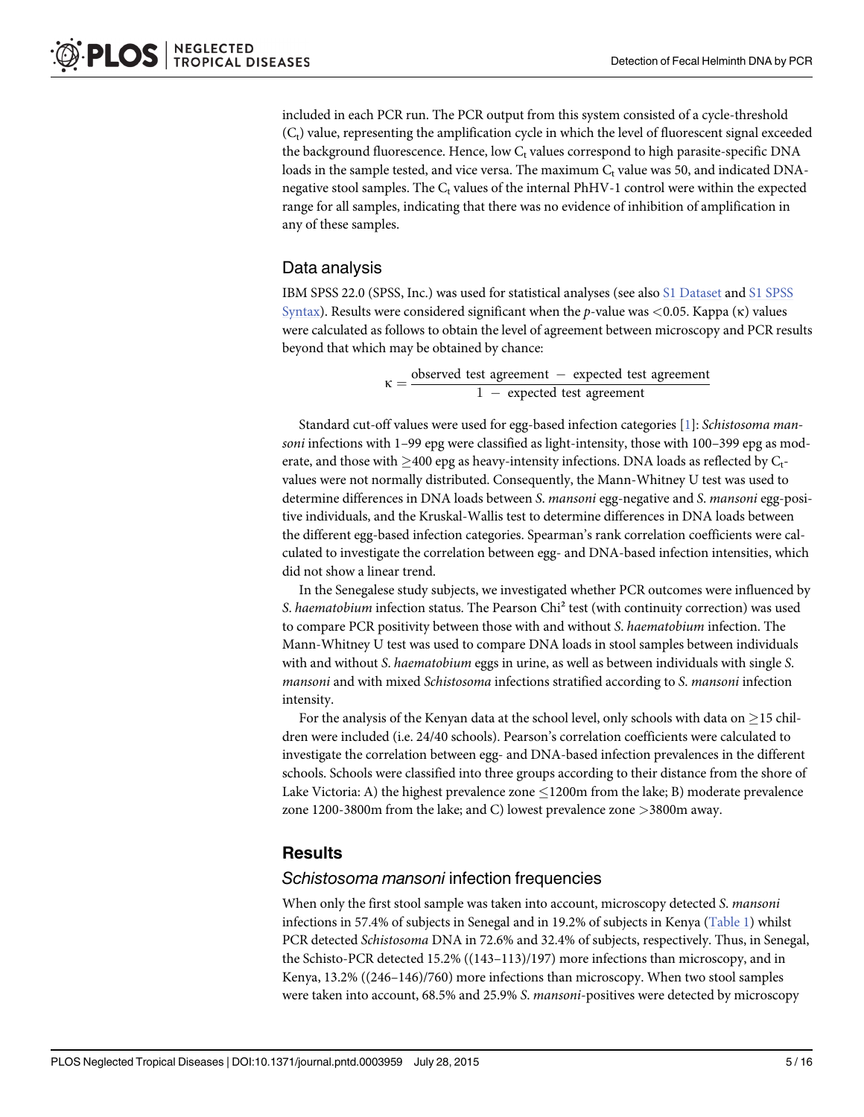<span id="page-4-0"></span>included in each PCR run. The PCR output from this system consisted of a cycle-threshold  $(C<sub>t</sub>)$  value, representing the amplification cycle in which the level of fluorescent signal exceeded the background fluorescence. Hence, low  $C_t$  values correspond to high parasite-specific DNA loads in the sample tested, and vice versa. The maximum  $C_t$  value was 50, and indicated DNAnegative stool samples. The  $C_t$  values of the internal PhHV-1 control were within the expected range for all samples, indicating that there was no evidence of inhibition of amplification in any of these samples.

### Data analysis

IBM SPSS 22.0 (SPSS, Inc.) was used for statistical analyses (see also [S1 Dataset](#page-11-0) and [S1 SPSS](#page-11-0) [Syntax\)](#page-11-0). Results were considered significant when the p-value was <0.05. Kappa (κ) values were calculated as follows to obtain the level of agreement between microscopy and PCR results beyond that which may be obtained by chance:

> $k = \frac{\text{observed test agreement}}{1 - \text{expected test agreement}}$ 1 - expected test agreement

Standard cut-off values were used for egg-based infection categories [\[1\]](#page-12-0): Schistosoma mansoni infections with 1–99 epg were classified as light-intensity, those with 100–399 epg as moderate, and those with  $\geq$ 400 epg as heavy-intensity infections. DNA loads as reflected by C<sub>t</sub>values were not normally distributed. Consequently, the Mann-Whitney U test was used to determine differences in DNA loads between S. mansoni egg-negative and S. mansoni egg-positive individuals, and the Kruskal-Wallis test to determine differences in DNA loads between the different egg-based infection categories. Spearman's rank correlation coefficients were calculated to investigate the correlation between egg- and DNA-based infection intensities, which did not show a linear trend.

In the Senegalese study subjects, we investigated whether PCR outcomes were influenced by S. haematobium infection status. The Pearson Chi<sup>2</sup> test (with continuity correction) was used to compare PCR positivity between those with and without S. haematobium infection. The Mann-Whitney U test was used to compare DNA loads in stool samples between individuals with and without *S. haematobium* eggs in urine, as well as between individuals with single *S*. mansoni and with mixed Schistosoma infections stratified according to S. mansoni infection intensity.

For the analysis of the Kenyan data at the school level, only schools with data on  $>$ 15 children were included (i.e. 24/40 schools). Pearson's correlation coefficients were calculated to investigate the correlation between egg- and DNA-based infection prevalences in the different schools. Schools were classified into three groups according to their distance from the shore of Lake Victoria: A) the highest prevalence zone  $\leq$ 1200m from the lake; B) moderate prevalence zone 1200-3800m from the lake; and C) lowest prevalence zone >3800m away.

# **Results**

### Schistosoma mansoni infection frequencies

When only the first stool sample was taken into account, microscopy detected S. *mansoni* infections in 57.4% of subjects in Senegal and in 19.2% of subjects in Kenya [\(Table 1](#page-5-0)) whilst PCR detected Schistosoma DNA in 72.6% and 32.4% of subjects, respectively. Thus, in Senegal, the Schisto-PCR detected 15.2% ((143–113)/197) more infections than microscopy, and in Kenya, 13.2% ((246–146)/760) more infections than microscopy. When two stool samples were taken into account, 68.5% and 25.9% S. mansoni-positives were detected by microscopy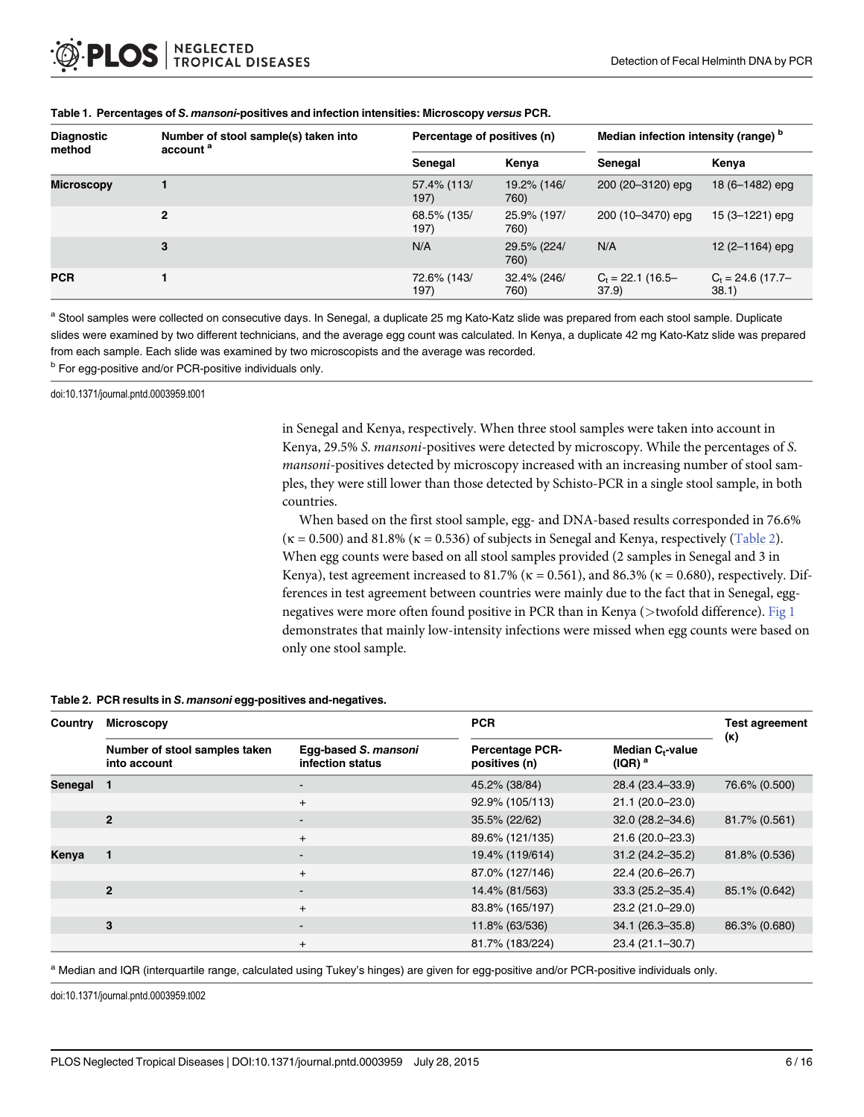| <b>Diagnostic</b><br>method | Number of stool sample(s) taken into<br>account <sup>a</sup> | Percentage of positives (n) |                     | Median infection intensity (range) <sup>b</sup> |                              |
|-----------------------------|--------------------------------------------------------------|-----------------------------|---------------------|-------------------------------------------------|------------------------------|
|                             |                                                              | Senegal                     | Kenya               | Senegal                                         | Kenya                        |
| <b>Microscopy</b>           |                                                              | 57.4% (113/<br>197)         | 19.2% (146/<br>760) | 200 (20-3120) epg                               | 18 (6-1482) epg              |
|                             | $\mathbf{2}$                                                 | 68.5% (135/<br>197)         | 25.9% (197/<br>760) | 200 (10-3470) epg                               | 15 (3-1221) epg              |
|                             | 3                                                            | N/A                         | 29.5% (224/<br>760) | N/A                                             | 12 (2-1164) epg              |
| <b>PCR</b>                  |                                                              | 72.6% (143/<br>197)         | 32.4% (246/<br>760) | $C_t$ = 22.1 (16.5–<br>37.9                     | $C_t$ = 24.6 (17.7–<br>38.1) |

#### <span id="page-5-0"></span>[Table 1.](#page-4-0) Percentages of S. mansoni-positives and infection intensities: Microscopy versus PCR.

a Stool samples were collected on consecutive days. In Senegal, a duplicate 25 mg Kato-Katz slide was prepared from each stool sample. Duplicate slides were examined by two different technicians, and the average egg count was calculated. In Kenya, a duplicate 42 mg Kato-Katz slide was prepared from each sample. Each slide was examined by two microscopists and the average was recorded.

<sup>b</sup> For egg-positive and/or PCR-positive individuals only.

doi:10.1371/journal.pntd.0003959.t001

in Senegal and Kenya, respectively. When three stool samples were taken into account in Kenya, 29.5% S. mansoni-positives were detected by microscopy. While the percentages of S. mansoni-positives detected by microscopy increased with an increasing number of stool samples, they were still lower than those detected by Schisto-PCR in a single stool sample, in both countries.

When based on the first stool sample, egg- and DNA-based results corresponded in 76.6%  $(\kappa = 0.500)$  and 81.8%  $(\kappa = 0.536)$  of subjects in Senegal and Kenya, respectively (Table 2). When egg counts were based on all stool samples provided (2 samples in Senegal and 3 in Kenya), test agreement increased to 81.7% ( $\kappa = 0.561$ ), and 86.3% ( $\kappa = 0.680$ ), respectively. Differences in test agreement between countries were mainly due to the fact that in Senegal, egg-negatives were more often found positive in PCR than in Kenya (>twofold difference). [Fig 1](#page-6-0) demonstrates that mainly low-intensity infections were missed when egg counts were based on only one stool sample.

| Country   | <b>Microscopy</b>                             |                                          | <b>PCR</b>                              |                                            |               |  |
|-----------|-----------------------------------------------|------------------------------------------|-----------------------------------------|--------------------------------------------|---------------|--|
|           | Number of stool samples taken<br>into account | Egg-based S. mansoni<br>infection status | <b>Percentage PCR-</b><br>positives (n) | Median C <sub>t</sub> -value<br>(IQR) $^a$ | (K)           |  |
| Senegal 1 |                                               | $\overline{\phantom{a}}$                 | 45.2% (38/84)                           | 28.4 (23.4–33.9)                           | 76.6% (0.500) |  |
|           |                                               | $+$                                      | 92.9% (105/113)                         | 21.1 (20.0-23.0)                           |               |  |
|           | $\overline{2}$                                | $\overline{\phantom{a}}$                 | 35.5% (22/62)                           | $32.0(28.2 - 34.6)$                        | 81.7% (0.561) |  |
|           |                                               | $+$                                      | 89.6% (121/135)                         | 21.6 (20.0-23.3)                           |               |  |
| Kenya     |                                               | $\overline{\phantom{a}}$                 | 19.4% (119/614)                         | $31.2(24.2 - 35.2)$                        | 81.8% (0.536) |  |
|           |                                               | $+$                                      | 87.0% (127/146)                         | 22.4 (20.6-26.7)                           |               |  |
|           | $\overline{2}$                                | $\overline{\phantom{a}}$                 | 14.4% (81/563)                          | $33.3(25.2 - 35.4)$                        | 85.1% (0.642) |  |
|           |                                               | $+$                                      | 83.8% (165/197)                         | 23.2 (21.0-29.0)                           |               |  |
|           | 3                                             | $\overline{\phantom{a}}$                 | 11.8% (63/536)                          | $34.1 (26.3 - 35.8)$                       | 86.3% (0.680) |  |
|           |                                               | $+$                                      | 81.7% (183/224)                         | 23.4 (21.1-30.7)                           |               |  |

Table 2. PCR results in S. mansoni egg-positives and-negatives.

a Median and IQR (interquartile range, calculated using Tukey's hinges) are given for egg-positive and/or PCR-positive individuals only.

doi:10.1371/journal.pntd.0003959.t002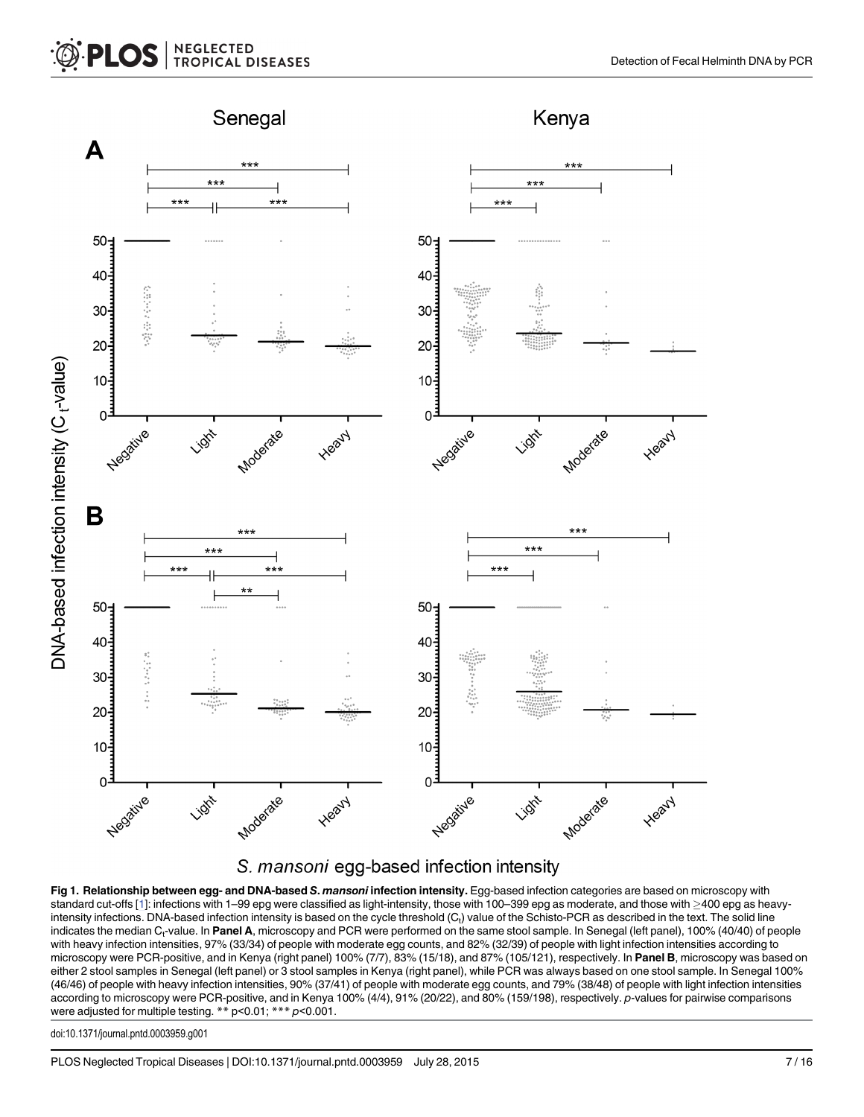<span id="page-6-0"></span>

### S. mansoni egg-based infection intensity

[Fig 1. R](#page-5-0)elationship between egg- and DNA-based S. mansoni infection intensity. Egg-based infection categories are based on microscopy with standard cut-offs [\[1\]](#page-12-0): infections with 1–99 epg were classified as light-intensity, those with 100–399 epg as moderate, and those with >400 epg as heavyintensity infections. DNA-based infection intensity is based on the cycle threshold (C<sub>t</sub>) value of the Schisto-PCR as described in the text. The solid line indicates the median C<sub>t</sub>-value. In Panel A, microscopy and PCR were performed on the same stool sample. In Senegal (left panel), 100% (40/40) of people with heavy infection intensities, 97% (33/34) of people with moderate egg counts, and 82% (32/39) of people with light infection intensities according to microscopy were PCR-positive, and in Kenya (right panel) 100% (7/7), 83% (15/18), and 87% (105/121), respectively. In Panel B, microscopy was based on either 2 stool samples in Senegal (left panel) or 3 stool samples in Kenya (right panel), while PCR was always based on one stool sample. In Senegal 100% (46/46) of people with heavy infection intensities, 90% (37/41) of people with moderate egg counts, and 79% (38/48) of people with light infection intensities according to microscopy were PCR-positive, and in Kenya 100% (4/4), 91% (20/22), and 80% (159/198), respectively. p-values for pairwise comparisons were adjusted for multiple testing. \*\* p<0.01; \*\*\* p<0.001.

doi:10.1371/journal.pntd.0003959.g001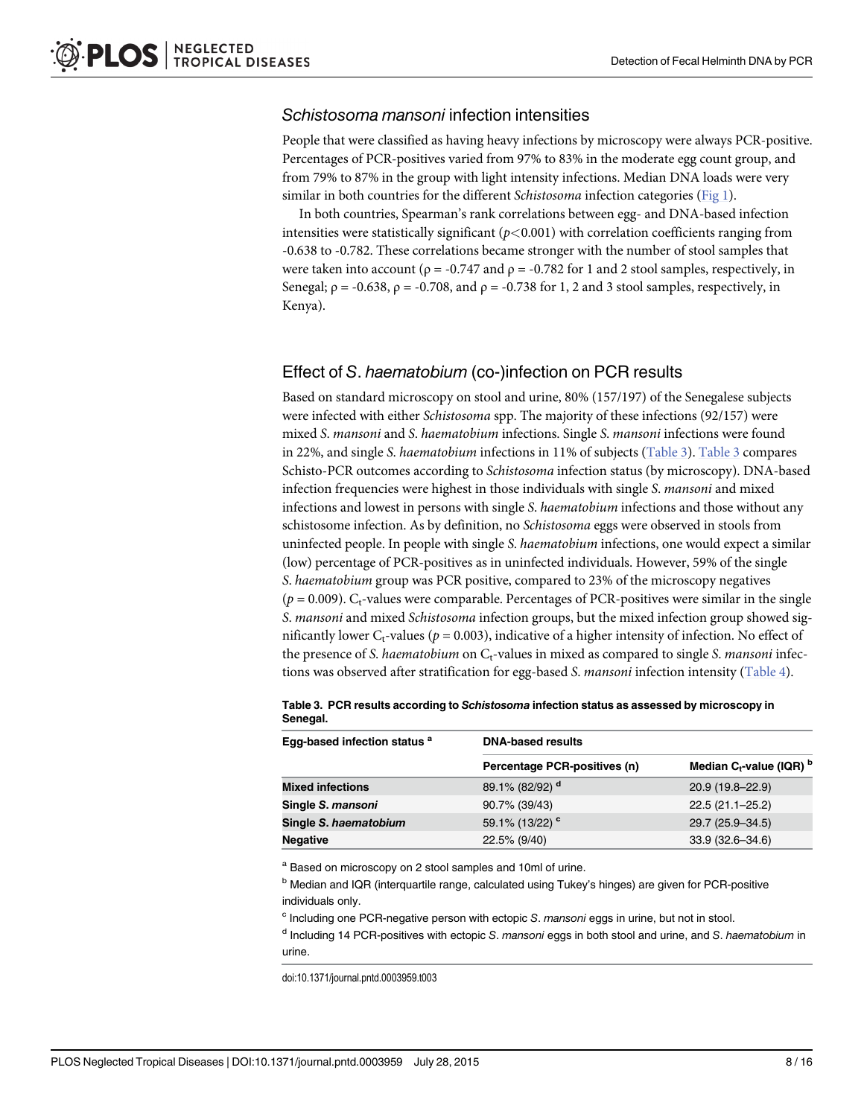### <span id="page-7-0"></span>Schistosoma mansoni infection intensities

People that were classified as having heavy infections by microscopy were always PCR-positive. Percentages of PCR-positives varied from 97% to 83% in the moderate egg count group, and from 79% to 87% in the group with light intensity infections. Median DNA loads were very similar in both countries for the different Schistosoma infection categories [\(Fig 1\)](#page-6-0).

In both countries, Spearman's rank correlations between egg- and DNA-based infection intensities were statistically significant  $(p<0.001)$  with correlation coefficients ranging from -0.638 to -0.782. These correlations became stronger with the number of stool samples that were taken into account ( $\rho = -0.747$  and  $\rho = -0.782$  for 1 and 2 stool samples, respectively, in Senegal;  $\rho = -0.638$ ,  $\rho = -0.708$ , and  $\rho = -0.738$  for 1, 2 and 3 stool samples, respectively, in Kenya).

# Effect of S. haematobium (co-)infection on PCR results

Based on standard microscopy on stool and urine, 80% (157/197) of the Senegalese subjects were infected with either Schistosoma spp. The majority of these infections (92/157) were mixed S. mansoni and S. haematobium infections. Single S. mansoni infections were found in 22%, and single S. haematobium infections in 11% of subjects (Table 3). Table 3 compares Schisto-PCR outcomes according to Schistosoma infection status (by microscopy). DNA-based infection frequencies were highest in those individuals with single S. mansoni and mixed infections and lowest in persons with single S. haematobium infections and those without any schistosome infection. As by definition, no Schistosoma eggs were observed in stools from uninfected people. In people with single S. haematobium infections, one would expect a similar (low) percentage of PCR-positives as in uninfected individuals. However, 59% of the single S. haematobium group was PCR positive, compared to 23% of the microscopy negatives  $(p = 0.009)$ . C<sub>t</sub>-values were comparable. Percentages of PCR-positives were similar in the single S. mansoni and mixed Schistosoma infection groups, but the mixed infection group showed significantly lower  $C_t$ -values ( $p = 0.003$ ), indicative of a higher intensity of infection. No effect of the presence of S. haematobium on  $C_t$ -values in mixed as compared to single S. mansoni infections was observed after stratification for egg-based S. mansoni infection intensity  $(Table 4)$  $(Table 4)$  $(Table 4)$ .

| Egg-based infection status <sup>a</sup> | <b>DNA-based results</b>     |                                |  |  |  |
|-----------------------------------------|------------------------------|--------------------------------|--|--|--|
|                                         | Percentage PCR-positives (n) | Median $C_t$ -value (IQR) $^b$ |  |  |  |
| <b>Mixed infections</b>                 | 89.1% (82/92) <sup>d</sup>   | 20.9 (19.8-22.9)               |  |  |  |
| Single S. mansoni                       | 90.7% (39/43)                | $22.5(21.1 - 25.2)$            |  |  |  |
| Single S. haematobium                   | 59.1% (13/22) <sup>c</sup>   | 29.7 (25.9-34.5)               |  |  |  |
| <b>Negative</b>                         | 22.5% (9/40)                 | $33.9(32.6 - 34.6)$            |  |  |  |

Table 3. PCR results according to Schistosoma infection status as assessed by microscopy in Senegal.

a Based on microscopy on 2 stool samples and 10ml of urine.

<sup>b</sup> Median and IQR (interquartile range, calculated using Tukey's hinges) are given for PCR-positive individuals only.

<sup>c</sup> Including one PCR-negative person with ectopic S. mansoni eggs in urine, but not in stool.

 $<sup>d</sup>$  Including 14 PCR-positives with ectopic S. mansoni eggs in both stool and urine, and S. haematobium in</sup> urine.

doi:10.1371/journal.pntd.0003959.t003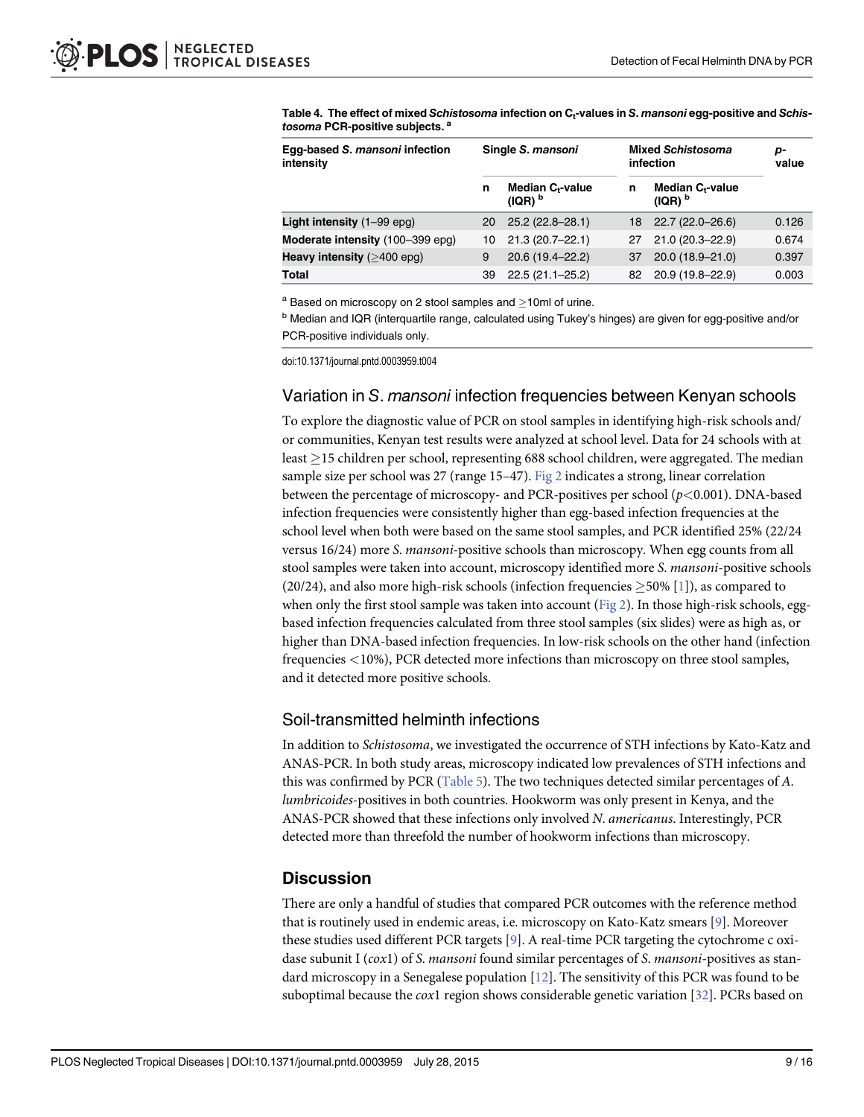| Egg-based S. mansoni infection<br>intensity | Single S. mansoni |                                              | <b>Mixed Schistosoma</b><br>infection |                                              | р-<br>value |
|---------------------------------------------|-------------------|----------------------------------------------|---------------------------------------|----------------------------------------------|-------------|
|                                             | n                 | Median C <sub>t</sub> -value<br>$($ IQR) $b$ | n                                     | Median C <sub>t</sub> -value<br>$($ IQR) $b$ |             |
| Light intensity $(1-99 \text{ erg})$        | 20                | 25.2 (22.8-28.1)                             | 18                                    | 22.7 (22.0-26.6)                             | 0.126       |
| Moderate intensity (100-399 epg)            | 10                | $21.3(20.7 - 22.1)$                          | 27                                    | 21.0 (20.3-22.9)                             | 0.674       |
| Heavy intensity $(>400 \text{ erg})$        | 9                 | 20.6 (19.4-22.2)                             | 37                                    | $20.0(18.9 - 21.0)$                          | 0.397       |
| Total                                       | 39                | 22.5 (21.1-25.2)                             | 82                                    | 20.9 (19.8-22.9)                             | 0.003       |

<span id="page-8-0"></span>[Table 4.](#page-7-0) The effect of mixed Schistosoma infection on C<sub>t</sub>-values in S. mansoni egg-positive and Schistosoma PCR-positive subjects.<sup>a</sup>

 $a$  Based on microscopy on 2 stool samples and  $>$ 10ml of urine.

**b Median and IQR (interquartile range, calculated using Tukey's hinges) are given for egg-positive and/or** PCR-positive individuals only.

doi:10.1371/journal.pntd.0003959.t004

### Variation in S. mansoni infection frequencies between Kenyan schools

To explore the diagnostic value of PCR on stool samples in identifying high-risk schools and/ or communities, Kenyan test results were analyzed at school level. Data for 24 schools with at least  $\geq$ 15 children per school, representing 688 school children, were aggregated. The median sample size per school was 27 (range 15–47). [Fig 2](#page-9-0) indicates a strong, linear correlation between the percentage of microscopy- and PCR-positives per school ( $p<0.001$ ). DNA-based infection frequencies were consistently higher than egg-based infection frequencies at the school level when both were based on the same stool samples, and PCR identified 25% (22/24 versus 16/24) more S. mansoni-positive schools than microscopy. When egg counts from all stool samples were taken into account, microscopy identified more S. mansoni-positive schools  $(20/24)$ , and also more high-risk schools (infection frequencies  $\geq$  50% [[1](#page-12-0)]), as compared to when only the first stool sample was taken into account ( $Fig 2$ ). In those high-risk schools, eggbased infection frequencies calculated from three stool samples (six slides) were as high as, or higher than DNA-based infection frequencies. In low-risk schools on the other hand (infection frequencies <10%), PCR detected more infections than microscopy on three stool samples, and it detected more positive schools.

### Soil-transmitted helminth infections

In addition to Schistosoma, we investigated the occurrence of STH infections by Kato-Katz and ANAS-PCR. In both study areas, microscopy indicated low prevalences of STH infections and this was confirmed by PCR  $(Table 5)$  $(Table 5)$ . The two techniques detected similar percentages of A. lumbricoides-positives in both countries. Hookworm was only present in Kenya, and the ANAS-PCR showed that these infections only involved N. americanus. Interestingly, PCR detected more than threefold the number of hookworm infections than microscopy.

### **Discussion**

There are only a handful of studies that compared PCR outcomes with the reference method that is routinely used in endemic areas, i.e. microscopy on Kato-Katz smears [[9\]](#page-12-0). Moreover these studies used different PCR targets [[9](#page-12-0)]. A real-time PCR targeting the cytochrome c oxidase subunit I (cox1) of S. mansoni found similar percentages of S. mansoni-positives as standard microscopy in a Senegalese population  $[12]$ . The sensitivity of this PCR was found to be suboptimal because the *cox*1 region shows considerable genetic variation  $[32]$  $[32]$  $[32]$ . PCRs based on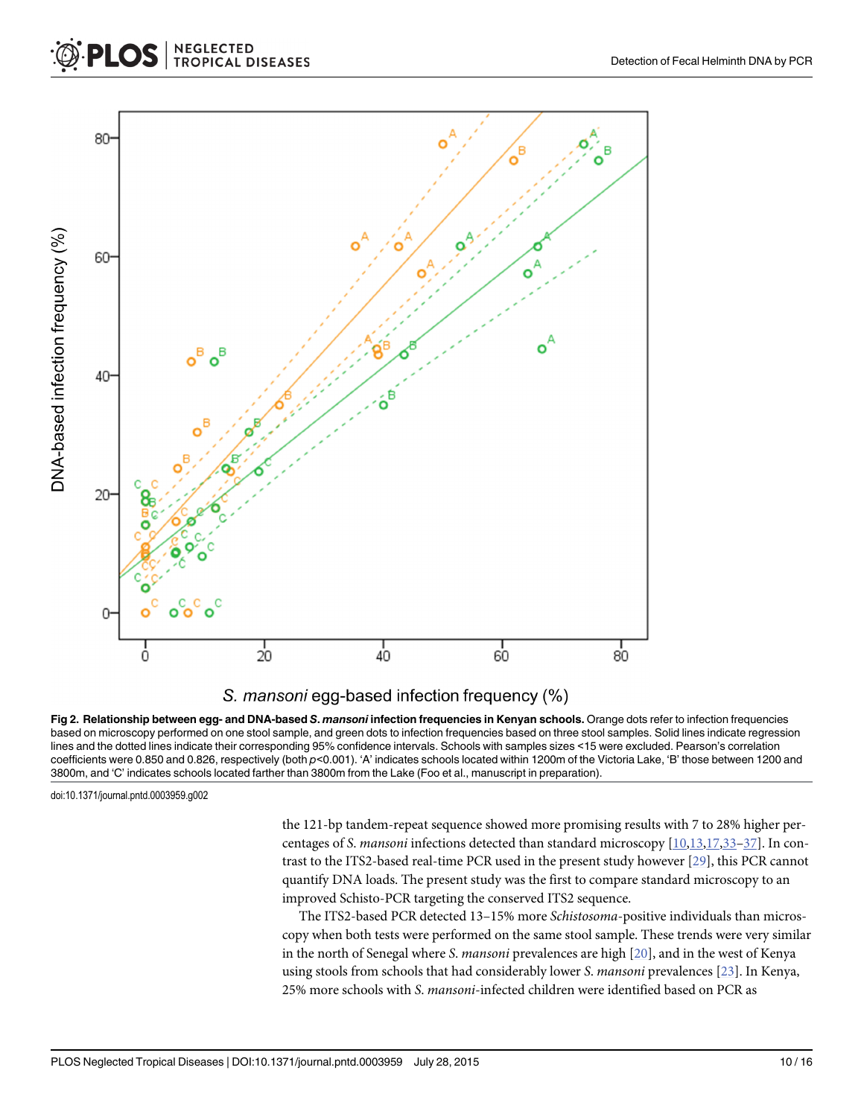# <span id="page-9-0"></span>**NEGLECTED<br>TROPICAL DISEASES**



S. mansoni egg-based infection frequency (%)

[Fig 2. R](#page-8-0)elationship between egg- and DNA-based S. mansoni infection frequencies in Kenyan schools. Orange dots refer to infection frequencies based on microscopy performed on one stool sample, and green dots to infection frequencies based on three stool samples. Solid lines indicate regression lines and the dotted lines indicate their corresponding 95% confidence intervals. Schools with samples sizes <15 were excluded. Pearson's correlation coefficients were 0.850 and 0.826, respectively (both p<0.001). 'A' indicates schools located within 1200m of the Victoria Lake, 'B' those between 1200 and 3800m, and 'C' indicates schools located farther than 3800m from the Lake (Foo et al., manuscript in preparation).

doi:10.1371/journal.pntd.0003959.g002

the 121-bp tandem-repeat sequence showed more promising results with 7 to 28% higher percentages of S. mansoni infections detected than standard microscopy  $[10,13,17,33-37]$  $[10,13,17,33-37]$  $[10,13,17,33-37]$  $[10,13,17,33-37]$  $[10,13,17,33-37]$  $[10,13,17,33-37]$  $[10,13,17,33-37]$  $[10,13,17,33-37]$ . In contrast to the ITS2-based real-time PCR used in the present study however [[29\]](#page-13-0), this PCR cannot quantify DNA loads. The present study was the first to compare standard microscopy to an improved Schisto-PCR targeting the conserved ITS2 sequence.

The ITS2-based PCR detected 13–15% more Schistosoma-positive individuals than microscopy when both tests were performed on the same stool sample. These trends were very similar in the north of Senegal where *S. mansoni* prevalences are high  $[20]$  $[20]$  $[20]$ , and in the west of Kenya using stools from schools that had considerably lower S. mansoni prevalences [\[23\]](#page-13-0). In Kenya, 25% more schools with S. mansoni-infected children were identified based on PCR as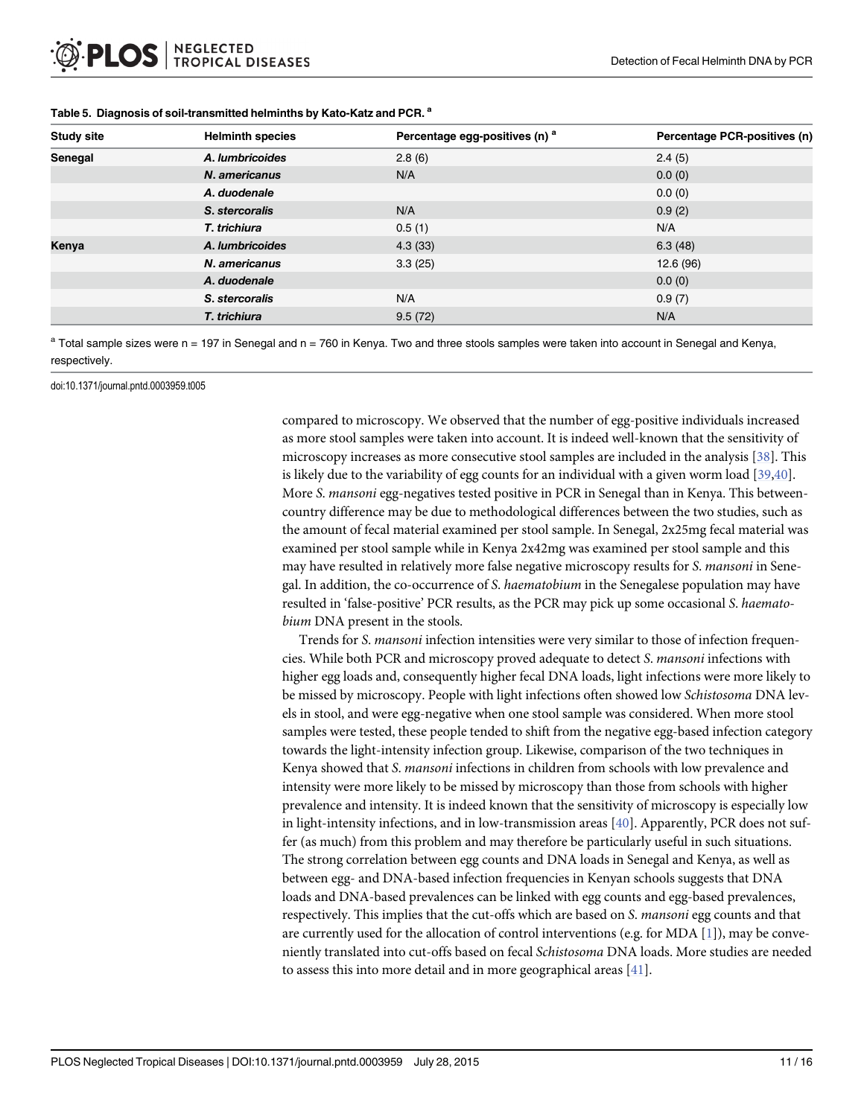| <b>Study site</b> | <b>Helminth species</b> | Percentage egg-positives (n) <sup>a</sup> | Percentage PCR-positives (n) |
|-------------------|-------------------------|-------------------------------------------|------------------------------|
| Senegal           | A. lumbricoides         | 2.8(6)                                    | 2.4(5)                       |
|                   | N. americanus           | N/A                                       | 0.0(0)                       |
|                   | A. duodenale            |                                           | 0.0(0)                       |
|                   | S. stercoralis          | N/A                                       | 0.9(2)                       |
|                   | <b>T.</b> trichiura     | 0.5(1)                                    | N/A                          |
| Kenya             | A. lumbricoides         | 4.3(33)                                   | 6.3(48)                      |
|                   | N. americanus           | 3.3(25)                                   | 12.6 (96)                    |
|                   | A. duodenale            |                                           | 0.0(0)                       |
|                   | S. stercoralis          | N/A                                       | 0.9(7)                       |
|                   | <b>T.</b> trichiura     | 9.5(72)                                   | N/A                          |

#### <span id="page-10-0"></span>[Table 5.](#page-8-0) Diagnosis of soil-transmitted helminths by Kato-Katz and PCR.<sup>a</sup>

 $a$  Total sample sizes were n = 197 in Senegal and n = 760 in Kenya. Two and three stools samples were taken into account in Senegal and Kenya, respectively.

doi:10.1371/journal.pntd.0003959.t005

compared to microscopy. We observed that the number of egg-positive individuals increased as more stool samples were taken into account. It is indeed well-known that the sensitivity of microscopy increases as more consecutive stool samples are included in the analysis [\[38\]](#page-14-0). This is likely due to the variability of egg counts for an individual with a given worm load [\[39,40](#page-14-0)]. More S. mansoni egg-negatives tested positive in PCR in Senegal than in Kenya. This betweencountry difference may be due to methodological differences between the two studies, such as the amount of fecal material examined per stool sample. In Senegal, 2x25mg fecal material was examined per stool sample while in Kenya 2x42mg was examined per stool sample and this may have resulted in relatively more false negative microscopy results for S. mansoni in Senegal. In addition, the co-occurrence of S. haematobium in the Senegalese population may have resulted in 'false-positive' PCR results, as the PCR may pick up some occasional S. haematobium DNA present in the stools.

Trends for S. mansoni infection intensities were very similar to those of infection frequencies. While both PCR and microscopy proved adequate to detect S. mansoni infections with higher egg loads and, consequently higher fecal DNA loads, light infections were more likely to be missed by microscopy. People with light infections often showed low Schistosoma DNA levels in stool, and were egg-negative when one stool sample was considered. When more stool samples were tested, these people tended to shift from the negative egg-based infection category towards the light-intensity infection group. Likewise, comparison of the two techniques in Kenya showed that S. mansoni infections in children from schools with low prevalence and intensity were more likely to be missed by microscopy than those from schools with higher prevalence and intensity. It is indeed known that the sensitivity of microscopy is especially low in light-intensity infections, and in low-transmission areas  $[40]$  $[40]$ . Apparently, PCR does not suffer (as much) from this problem and may therefore be particularly useful in such situations. The strong correlation between egg counts and DNA loads in Senegal and Kenya, as well as between egg- and DNA-based infection frequencies in Kenyan schools suggests that DNA loads and DNA-based prevalences can be linked with egg counts and egg-based prevalences, respectively. This implies that the cut-offs which are based on S. mansoni egg counts and that are currently used for the allocation of control interventions (e.g. for MDA  $[1]$  $[1]$ ), may be conveniently translated into cut-offs based on fecal Schistosoma DNA loads. More studies are needed to assess this into more detail and in more geographical areas  $[41]$ .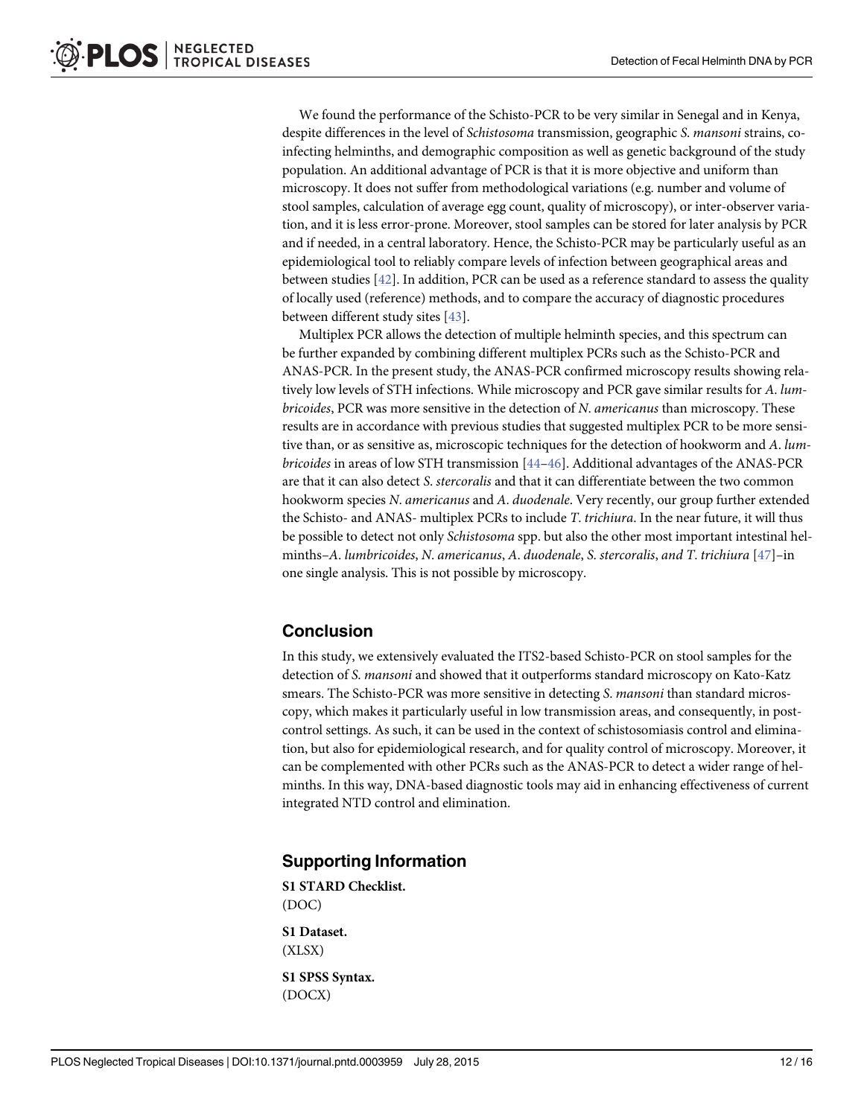<span id="page-11-0"></span>We found the performance of the Schisto-PCR to be very similar in Senegal and in Kenya, despite differences in the level of Schistosoma transmission, geographic S. mansoni strains, coinfecting helminths, and demographic composition as well as genetic background of the study population. An additional advantage of PCR is that it is more objective and uniform than microscopy. It does not suffer from methodological variations (e.g. number and volume of stool samples, calculation of average egg count, quality of microscopy), or inter-observer variation, and it is less error-prone. Moreover, stool samples can be stored for later analysis by PCR and if needed, in a central laboratory. Hence, the Schisto-PCR may be particularly useful as an epidemiological tool to reliably compare levels of infection between geographical areas and between studies  $[42]$ . In addition, PCR can be used as a reference standard to assess the quality of locally used (reference) methods, and to compare the accuracy of diagnostic procedures between different study sites [[43](#page-14-0)].

Multiplex PCR allows the detection of multiple helminth species, and this spectrum can be further expanded by combining different multiplex PCRs such as the Schisto-PCR and ANAS-PCR. In the present study, the ANAS-PCR confirmed microscopy results showing relatively low levels of STH infections. While microscopy and PCR gave similar results for A. lumbricoides, PCR was more sensitive in the detection of N. americanus than microscopy. These results are in accordance with previous studies that suggested multiplex PCR to be more sensitive than, or as sensitive as, microscopic techniques for the detection of hookworm and A. lumbricoides in areas of low STH transmission [[44](#page-14-0)–[46\]](#page-14-0). Additional advantages of the ANAS-PCR are that it can also detect S. stercoralis and that it can differentiate between the two common hookworm species N. americanus and A. duodenale. Very recently, our group further extended the Schisto- and ANAS- multiplex PCRs to include T. trichiura. In the near future, it will thus be possible to detect not only Schistosoma spp. but also the other most important intestinal helminths–A. lumbricoides, N. americanus, A. duodenale, S. stercoralis, and T. trichiura [\[47\]](#page-15-0)–in one single analysis. This is not possible by microscopy.

# Conclusion

In this study, we extensively evaluated the ITS2-based Schisto-PCR on stool samples for the detection of S. mansoni and showed that it outperforms standard microscopy on Kato-Katz smears. The Schisto-PCR was more sensitive in detecting S. mansoni than standard microscopy, which makes it particularly useful in low transmission areas, and consequently, in postcontrol settings. As such, it can be used in the context of schistosomiasis control and elimination, but also for epidemiological research, and for quality control of microscopy. Moreover, it can be complemented with other PCRs such as the ANAS-PCR to detect a wider range of helminths. In this way, DNA-based diagnostic tools may aid in enhancing effectiveness of current integrated NTD control and elimination.

# Supporting Information

[S1 STARD Checklist](http://www.plosone.org/article/fetchSingleRepresentation.action?uri=info:doi/10.1371/journal.pntd.0003959.s001). (DOC) [S1 Dataset.](http://www.plosone.org/article/fetchSingleRepresentation.action?uri=info:doi/10.1371/journal.pntd.0003959.s002) (XLSX) [S1 SPSS Syntax](http://www.plosone.org/article/fetchSingleRepresentation.action?uri=info:doi/10.1371/journal.pntd.0003959.s003). (DOCX)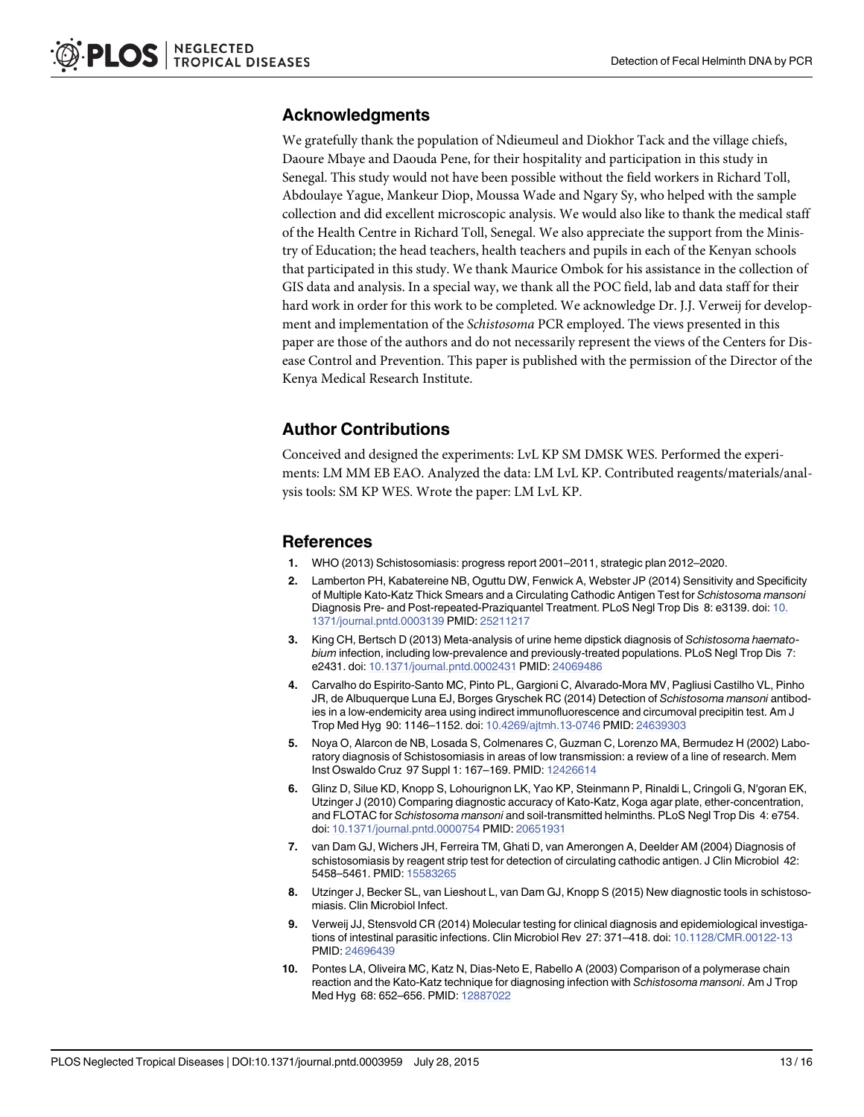# <span id="page-12-0"></span>Acknowledgments

We gratefully thank the population of Ndieumeul and Diokhor Tack and the village chiefs, Daoure Mbaye and Daouda Pene, for their hospitality and participation in this study in Senegal. This study would not have been possible without the field workers in Richard Toll, Abdoulaye Yague, Mankeur Diop, Moussa Wade and Ngary Sy, who helped with the sample collection and did excellent microscopic analysis. We would also like to thank the medical staff of the Health Centre in Richard Toll, Senegal. We also appreciate the support from the Ministry of Education; the head teachers, health teachers and pupils in each of the Kenyan schools that participated in this study. We thank Maurice Ombok for his assistance in the collection of GIS data and analysis. In a special way, we thank all the POC field, lab and data staff for their hard work in order for this work to be completed. We acknowledge Dr. J.J. Verweij for development and implementation of the Schistosoma PCR employed. The views presented in this paper are those of the authors and do not necessarily represent the views of the Centers for Disease Control and Prevention. This paper is published with the permission of the Director of the Kenya Medical Research Institute.

# Author Contributions

Conceived and designed the experiments: LvL KP SM DMSK WES. Performed the experiments: LM MM EB EAO. Analyzed the data: LM LvL KP. Contributed reagents/materials/analysis tools: SM KP WES. Wrote the paper: LM LvL KP.

# References

- [1.](#page-1-0) WHO (2013) Schistosomiasis: progress report 2001–2011, strategic plan 2012–2020.
- [2.](#page-1-0) Lamberton PH, Kabatereine NB, Oguttu DW, Fenwick A, Webster JP (2014) Sensitivity and Specificity of Multiple Kato-Katz Thick Smears and a Circulating Cathodic Antigen Test for Schistosoma mansoni Diagnosis Pre- and Post-repeated-Praziquantel Treatment. PLoS Negl Trop Dis 8: e3139. doi: [10.](http://dx.doi.org/10.1371/journal.pntd.0003139) [1371/journal.pntd.0003139](http://dx.doi.org/10.1371/journal.pntd.0003139) PMID: [25211217](http://www.ncbi.nlm.nih.gov/pubmed/25211217)
- [3.](#page-1-0) King CH, Bertsch D (2013) Meta-analysis of urine heme dipstick diagnosis of Schistosoma haematobium infection, including low-prevalence and previously-treated populations. PLoS Negl Trop Dis 7: e2431. doi: [10.1371/journal.pntd.0002431](http://dx.doi.org/10.1371/journal.pntd.0002431) PMID: [24069486](http://www.ncbi.nlm.nih.gov/pubmed/24069486)
- [4.](#page-1-0) Carvalho do Espirito-Santo MC, Pinto PL, Gargioni C, Alvarado-Mora MV, Pagliusi Castilho VL, Pinho JR, de Albuquerque Luna EJ, Borges Gryschek RC (2014) Detection of Schistosoma mansoni antibodies in a low-endemicity area using indirect immunofluorescence and circumoval precipitin test. Am J Trop Med Hyg 90: 1146–1152. doi: [10.4269/ajtmh.13-0746](http://dx.doi.org/10.4269/ajtmh.13-0746) PMID: [24639303](http://www.ncbi.nlm.nih.gov/pubmed/24639303)
- [5.](#page-1-0) Noya O, Alarcon de NB, Losada S, Colmenares C, Guzman C, Lorenzo MA, Bermudez H (2002) Laboratory diagnosis of Schistosomiasis in areas of low transmission: a review of a line of research. Mem Inst Oswaldo Cruz 97 Suppl 1: 167–169. PMID: [12426614](http://www.ncbi.nlm.nih.gov/pubmed/12426614)
- [6.](#page-1-0) Glinz D, Silue KD, Knopp S, Lohourignon LK, Yao KP, Steinmann P, Rinaldi L, Cringoli G, N'goran EK, Utzinger J (2010) Comparing diagnostic accuracy of Kato-Katz, Koga agar plate, ether-concentration, and FLOTAC for Schistosoma mansoni and soil-transmitted helminths. PLoS Negl Trop Dis 4: e754. doi: [10.1371/journal.pntd.0000754](http://dx.doi.org/10.1371/journal.pntd.0000754) PMID: [20651931](http://www.ncbi.nlm.nih.gov/pubmed/20651931)
- [7.](#page-1-0) van Dam GJ, Wichers JH, Ferreira TM, Ghati D, van Amerongen A, Deelder AM (2004) Diagnosis of schistosomiasis by reagent strip test for detection of circulating cathodic antigen. J Clin Microbiol 42: 5458–5461. PMID: [15583265](http://www.ncbi.nlm.nih.gov/pubmed/15583265)
- [8.](#page-1-0) Utzinger J, Becker SL, van Lieshout L, van Dam GJ, Knopp S (2015) New diagnostic tools in schistosomiasis. Clin Microbiol Infect.
- [9.](#page-2-0) Verweij JJ, Stensvold CR (2014) Molecular testing for clinical diagnosis and epidemiological investiga-tions of intestinal parasitic infections. Clin Microbiol Rev 27: 371-418. doi: [10.1128/CMR.00122-13](http://dx.doi.org/10.1128/CMR.00122-13) PMID: [24696439](http://www.ncbi.nlm.nih.gov/pubmed/24696439)
- [10.](#page-9-0) Pontes LA, Oliveira MC, Katz N, Dias-Neto E, Rabello A (2003) Comparison of a polymerase chain reaction and the Kato-Katz technique for diagnosing infection with Schistosoma mansoni. Am J Trop Med Hyg 68: 652–656. PMID: [12887022](http://www.ncbi.nlm.nih.gov/pubmed/12887022)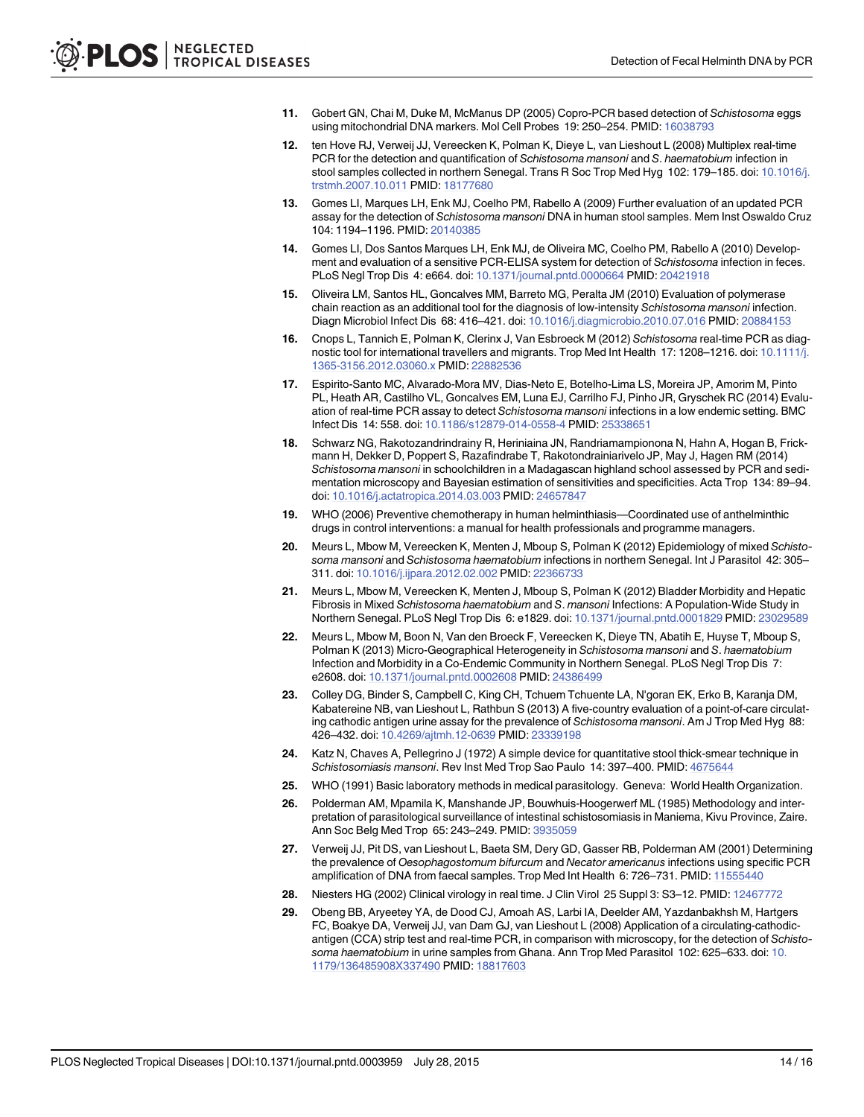- <span id="page-13-0"></span>11. Gobert GN, Chai M, Duke M, McManus DP (2005) Copro-PCR based detection of Schistosoma eggs using mitochondrial DNA markers. Mol Cell Probes 19: 250–254. PMID: [16038793](http://www.ncbi.nlm.nih.gov/pubmed/16038793)
- [12.](#page-3-0) ten Hove RJ, Verweij JJ, Vereecken K, Polman K, Dieye L, van Lieshout L (2008) Multiplex real-time PCR for the detection and quantification of Schistosoma mansoni and S. haematobium infection in stool samples collected in northern Senegal. Trans R Soc Trop Med Hyg 102: 179-185. doi: [10.1016/j.](http://dx.doi.org/10.1016/j.trstmh.2007.10.011) [trstmh.2007.10.011](http://dx.doi.org/10.1016/j.trstmh.2007.10.011) PMID: [18177680](http://www.ncbi.nlm.nih.gov/pubmed/18177680)
- [13.](#page-9-0) Gomes LI, Marques LH, Enk MJ, Coelho PM, Rabello A (2009) Further evaluation of an updated PCR assay for the detection of Schistosoma mansoni DNA in human stool samples. Mem Inst Oswaldo Cruz 104: 1194–1196. PMID: [20140385](http://www.ncbi.nlm.nih.gov/pubmed/20140385)
- 14. Gomes LI, Dos Santos Marques LH, Enk MJ, de Oliveira MC, Coelho PM, Rabello A (2010) Development and evaluation of a sensitive PCR-ELISA system for detection of Schistosoma infection in feces. PLoS Negl Trop Dis 4: e664. doi: [10.1371/journal.pntd.0000664](http://dx.doi.org/10.1371/journal.pntd.0000664) PMID: [20421918](http://www.ncbi.nlm.nih.gov/pubmed/20421918)
- 15. Oliveira LM, Santos HL, Goncalves MM, Barreto MG, Peralta JM (2010) Evaluation of polymerase chain reaction as an additional tool for the diagnosis of low-intensity Schistosoma mansoni infection. Diagn Microbiol Infect Dis 68: 416–421. doi: [10.1016/j.diagmicrobio.2010.07.016](http://dx.doi.org/10.1016/j.diagmicrobio.2010.07.016) PMID: [20884153](http://www.ncbi.nlm.nih.gov/pubmed/20884153)
- 16. Cnops L, Tannich E, Polman K, Clerinx J, Van Esbroeck M (2012) Schistosoma real-time PCR as diagnostic tool for international travellers and migrants. Trop Med Int Health 17: 1208–1216. doi: [10.1111/j.](http://dx.doi.org/10.1111/j.1365-3156.2012.03060.x) [1365-3156.2012.03060.x](http://dx.doi.org/10.1111/j.1365-3156.2012.03060.x) PMID: [22882536](http://www.ncbi.nlm.nih.gov/pubmed/22882536)
- [17.](#page-9-0) Espirito-Santo MC, Alvarado-Mora MV, Dias-Neto E, Botelho-Lima LS, Moreira JP, Amorim M, Pinto PL, Heath AR, Castilho VL, Goncalves EM, Luna EJ, Carrilho FJ, Pinho JR, Gryschek RC (2014) Evaluation of real-time PCR assay to detect Schistosoma mansoni infections in a low endemic setting. BMC Infect Dis 14: 558. doi: [10.1186/s12879-014-0558-4](http://dx.doi.org/10.1186/s12879-014-0558-4) PMID: [25338651](http://www.ncbi.nlm.nih.gov/pubmed/25338651)
- [18.](#page-2-0) Schwarz NG, Rakotozandrindrainy R, Heriniaina JN, Randriamampionona N, Hahn A, Hogan B, Frickmann H, Dekker D, Poppert S, Razafindrabe T, Rakotondrainiarivelo JP, May J, Hagen RM (2014) Schistosoma mansoni in schoolchildren in a Madagascan highland school assessed by PCR and sedimentation microscopy and Bayesian estimation of sensitivities and specificities. Acta Trop 134: 89–94. doi: [10.1016/j.actatropica.2014.03.003](http://dx.doi.org/10.1016/j.actatropica.2014.03.003) PMID: [24657847](http://www.ncbi.nlm.nih.gov/pubmed/24657847)
- [19.](#page-2-0) WHO (2006) Preventive chemotherapy in human helminthiasis—Coordinated use of anthelminthic drugs in control interventions: a manual for health professionals and programme managers.
- [20.](#page-2-0) Meurs L, Mbow M, Vereecken K, Menten J, Mboup S, Polman K (2012) Epidemiology of mixed Schistosoma mansoni and Schistosoma haematobium infections in northern Senegal. Int J Parasitol 42: 305-311. doi: [10.1016/j.ijpara.2012.02.002](http://dx.doi.org/10.1016/j.ijpara.2012.02.002) PMID: [22366733](http://www.ncbi.nlm.nih.gov/pubmed/22366733)
- 21. Meurs L, Mbow M, Vereecken K, Menten J, Mboup S, Polman K (2012) Bladder Morbidity and Hepatic Fibrosis in Mixed Schistosoma haematobium and S. mansoni Infections: A Population-Wide Study in Northern Senegal. PLoS Negl Trop Dis 6: e1829. doi: [10.1371/journal.pntd.0001829](http://dx.doi.org/10.1371/journal.pntd.0001829) PMID: [23029589](http://www.ncbi.nlm.nih.gov/pubmed/23029589)
- [22.](#page-2-0) Meurs L, Mbow M, Boon N, Van den Broeck F, Vereecken K, Dieye TN, Abatih E, Huyse T, Mboup S, Polman K (2013) Micro-Geographical Heterogeneity in Schistosoma mansoni and S. haematobium Infection and Morbidity in a Co-Endemic Community in Northern Senegal. PLoS Negl Trop Dis 7: e2608. doi: [10.1371/journal.pntd.0002608](http://dx.doi.org/10.1371/journal.pntd.0002608) PMID: [24386499](http://www.ncbi.nlm.nih.gov/pubmed/24386499)
- [23.](#page-2-0) Colley DG, Binder S, Campbell C, King CH, Tchuem Tchuente LA, N'goran EK, Erko B, Karanja DM, Kabatereine NB, van Lieshout L, Rathbun S (2013) A five-country evaluation of a point-of-care circulating cathodic antigen urine assay for the prevalence of Schistosoma mansoni. Am J Trop Med Hyg 88: 426–432. doi: [10.4269/ajtmh.12-0639](http://dx.doi.org/10.4269/ajtmh.12-0639) PMID: [23339198](http://www.ncbi.nlm.nih.gov/pubmed/23339198)
- [24.](#page-3-0) Katz N, Chaves A, Pellegrino J (1972) A simple device for quantitative stool thick-smear technique in Schistosomiasis mansoni. Rev Inst Med Trop Sao Paulo 14: 397–400. PMID: [4675644](http://www.ncbi.nlm.nih.gov/pubmed/4675644)
- [25.](#page-3-0) WHO (1991) Basic laboratory methods in medical parasitology. Geneva: World Health Organization.
- [26.](#page-3-0) Polderman AM, Mpamila K, Manshande JP, Bouwhuis-Hoogerwerf ML (1985) Methodology and interpretation of parasitological surveillance of intestinal schistosomiasis in Maniema, Kivu Province, Zaire. Ann Soc Belg Med Trop 65: 243–249. PMID: [3935059](http://www.ncbi.nlm.nih.gov/pubmed/3935059)
- [27.](#page-3-0) Verweij JJ, Pit DS, van Lieshout L, Baeta SM, Dery GD, Gasser RB, Polderman AM (2001) Determining the prevalence of Oesophagostomum bifurcum and Necator americanus infections using specific PCR amplification of DNA from faecal samples. Trop Med Int Health 6: 726-731. PMID: [11555440](http://www.ncbi.nlm.nih.gov/pubmed/11555440)
- [28.](#page-3-0) Niesters HG (2002) Clinical virology in real time. J Clin Virol 25 Suppl 3: S3–12. PMID: [12467772](http://www.ncbi.nlm.nih.gov/pubmed/12467772)
- [29.](#page-3-0) Obeng BB, Aryeetey YA, de Dood CJ, Amoah AS, Larbi IA, Deelder AM, Yazdanbakhsh M, Hartgers FC, Boakye DA, Verweij JJ, van Dam GJ, van Lieshout L (2008) Application of a circulating-cathodicantigen (CCA) strip test and real-time PCR, in comparison with microscopy, for the detection of Schistosoma haematobium in urine samples from Ghana. Ann Trop Med Parasitol 102: 625–633. doi: [10.](http://dx.doi.org/10.1179/136485908X337490) [1179/136485908X337490](http://dx.doi.org/10.1179/136485908X337490) PMID: [18817603](http://www.ncbi.nlm.nih.gov/pubmed/18817603)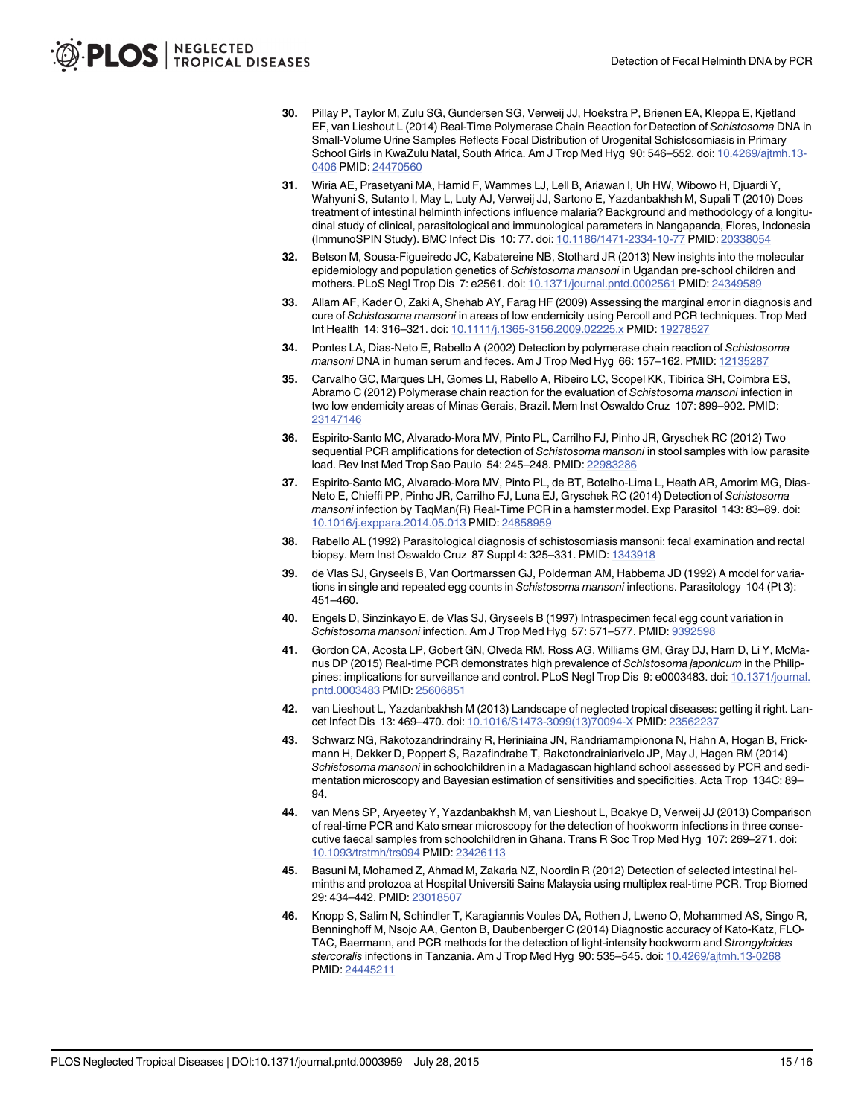- <span id="page-14-0"></span>[30.](#page-3-0) Pillay P, Taylor M, Zulu SG, Gundersen SG, Verweij JJ, Hoekstra P, Brienen EA, Kleppa E, Kjetland EF, van Lieshout L (2014) Real-Time Polymerase Chain Reaction for Detection of Schistosoma DNA in Small-Volume Urine Samples Reflects Focal Distribution of Urogenital Schistosomiasis in Primary School Girls in KwaZulu Natal, South Africa. Am J Trop Med Hyg 90: 546–552. doi: [10.4269/ajtmh.13-](http://dx.doi.org/10.4269/ajtmh.13-0406) [0406](http://dx.doi.org/10.4269/ajtmh.13-0406) PMID: [24470560](http://www.ncbi.nlm.nih.gov/pubmed/24470560)
- [31.](#page-3-0) Wiria AE, Prasetyani MA, Hamid F, Wammes LJ, Lell B, Ariawan I, Uh HW, Wibowo H, Djuardi Y, Wahyuni S, Sutanto I, May L, Luty AJ, Verweij JJ, Sartono E, Yazdanbakhsh M, Supali T (2010) Does treatment of intestinal helminth infections influence malaria? Background and methodology of a longitudinal study of clinical, parasitological and immunological parameters in Nangapanda, Flores, Indonesia (ImmunoSPIN Study). BMC Infect Dis 10: 77. doi: [10.1186/1471-2334-10-77](http://dx.doi.org/10.1186/1471-2334-10-77) PMID: [20338054](http://www.ncbi.nlm.nih.gov/pubmed/20338054)
- [32.](#page-8-0) Betson M, Sousa-Figueiredo JC, Kabatereine NB, Stothard JR (2013) New insights into the molecular epidemiology and population genetics of Schistosoma mansoni in Ugandan pre-school children and mothers. PLoS Negl Trop Dis 7: e2561. doi: [10.1371/journal.pntd.0002561](http://dx.doi.org/10.1371/journal.pntd.0002561) PMID: [24349589](http://www.ncbi.nlm.nih.gov/pubmed/24349589)
- [33.](#page-9-0) Allam AF, Kader O, Zaki A, Shehab AY, Farag HF (2009) Assessing the marginal error in diagnosis and cure of Schistosoma mansoni in areas of low endemicity using Percoll and PCR techniques. Trop Med Int Health 14: 316–321. doi: [10.1111/j.1365-3156.2009.02225.x](http://dx.doi.org/10.1111/j.1365-3156.2009.02225.x) PMID: [19278527](http://www.ncbi.nlm.nih.gov/pubmed/19278527)
- 34. Pontes LA, Dias-Neto E, Rabello A (2002) Detection by polymerase chain reaction of Schistosoma mansoni DNA in human serum and feces. Am J Trop Med Hyg 66: 157–162. PMID: [12135287](http://www.ncbi.nlm.nih.gov/pubmed/12135287)
- 35. Carvalho GC, Marques LH, Gomes LI, Rabello A, Ribeiro LC, Scopel KK, Tibirica SH, Coimbra ES, Abramo C (2012) Polymerase chain reaction for the evaluation of Schistosoma mansoni infection in two low endemicity areas of Minas Gerais, Brazil. Mem Inst Oswaldo Cruz 107: 899–902. PMID: [23147146](http://www.ncbi.nlm.nih.gov/pubmed/23147146)
- 36. Espirito-Santo MC, Alvarado-Mora MV, Pinto PL, Carrilho FJ, Pinho JR, Gryschek RC (2012) Two sequential PCR amplifications for detection of Schistosoma mansoni in stool samples with low parasite load. Rev Inst Med Trop Sao Paulo 54: 245–248. PMID: [22983286](http://www.ncbi.nlm.nih.gov/pubmed/22983286)
- [37.](#page-9-0) Espirito-Santo MC, Alvarado-Mora MV, Pinto PL, de BT, Botelho-Lima L, Heath AR, Amorim MG, Dias-Neto E, Chieffi PP, Pinho JR, Carrilho FJ, Luna EJ, Gryschek RC (2014) Detection of Schistosoma mansoni infection by TaqMan(R) Real-Time PCR in a hamster model. Exp Parasitol 143: 83–89. doi: [10.1016/j.exppara.2014.05.013](http://dx.doi.org/10.1016/j.exppara.2014.05.013) PMID: [24858959](http://www.ncbi.nlm.nih.gov/pubmed/24858959)
- [38.](#page-10-0) Rabello AL (1992) Parasitological diagnosis of schistosomiasis mansoni: fecal examination and rectal biopsy. Mem Inst Oswaldo Cruz 87 Suppl 4: 325–331. PMID: [1343918](http://www.ncbi.nlm.nih.gov/pubmed/1343918)
- [39.](#page-10-0) de Vlas SJ, Gryseels B, Van Oortmarssen GJ, Polderman AM, Habbema JD (1992) A model for variations in single and repeated egg counts in Schistosoma mansoni infections. Parasitology 104 (Pt 3): 451–460.
- [40.](#page-10-0) Engels D, Sinzinkayo E, de Vlas SJ, Gryseels B (1997) Intraspecimen fecal egg count variation in Schistosoma mansoni infection. Am J Trop Med Hyg 57: 571–577. PMID: [9392598](http://www.ncbi.nlm.nih.gov/pubmed/9392598)
- [41.](#page-10-0) Gordon CA, Acosta LP, Gobert GN, Olveda RM, Ross AG, Williams GM, Gray DJ, Harn D, Li Y, McManus DP (2015) Real-time PCR demonstrates high prevalence of Schistosoma japonicum in the Philippines: implications for surveillance and control. PLoS Negl Trop Dis 9: e0003483. doi: [10.1371/journal.](http://dx.doi.org/10.1371/journal.pntd.0003483) [pntd.0003483](http://dx.doi.org/10.1371/journal.pntd.0003483) PMID: [25606851](http://www.ncbi.nlm.nih.gov/pubmed/25606851)
- [42.](#page-11-0) van Lieshout L, Yazdanbakhsh M (2013) Landscape of neglected tropical diseases: getting it right. Lancet Infect Dis 13: 469–470. doi: [10.1016/S1473-3099\(13\)70094-X](http://dx.doi.org/10.1016/S1473-3099(13)70094-X) PMID: [23562237](http://www.ncbi.nlm.nih.gov/pubmed/23562237)
- [43.](#page-11-0) Schwarz NG, Rakotozandrindrainy R, Heriniaina JN, Randriamampionona N, Hahn A, Hogan B, Frickmann H, Dekker D, Poppert S, Razafindrabe T, Rakotondrainiarivelo JP, May J, Hagen RM (2014) Schistosoma mansoni in schoolchildren in a Madagascan highland school assessed by PCR and sedimentation microscopy and Bayesian estimation of sensitivities and specificities. Acta Trop 134C: 89– 94.
- [44.](#page-11-0) van Mens SP, Aryeetey Y, Yazdanbakhsh M, van Lieshout L, Boakye D, Verweij JJ (2013) Comparison of real-time PCR and Kato smear microscopy for the detection of hookworm infections in three consecutive faecal samples from schoolchildren in Ghana. Trans R Soc Trop Med Hyg 107: 269–271. doi: [10.1093/trstmh/trs094](http://dx.doi.org/10.1093/trstmh/trs094) PMID: [23426113](http://www.ncbi.nlm.nih.gov/pubmed/23426113)
- 45. Basuni M, Mohamed Z, Ahmad M, Zakaria NZ, Noordin R (2012) Detection of selected intestinal helminths and protozoa at Hospital Universiti Sains Malaysia using multiplex real-time PCR. Trop Biomed 29: 434–442. PMID: [23018507](http://www.ncbi.nlm.nih.gov/pubmed/23018507)
- [46.](#page-11-0) Knopp S, Salim N, Schindler T, Karagiannis Voules DA, Rothen J, Lweno O, Mohammed AS, Singo R, Benninghoff M, Nsojo AA, Genton B, Daubenberger C (2014) Diagnostic accuracy of Kato-Katz, FLO-TAC, Baermann, and PCR methods for the detection of light-intensity hookworm and Strongyloides stercoralis infections in Tanzania. Am J Trop Med Hyg 90: 535–545. doi: [10.4269/ajtmh.13-0268](http://dx.doi.org/10.4269/ajtmh.13-0268) PMID: [24445211](http://www.ncbi.nlm.nih.gov/pubmed/24445211)